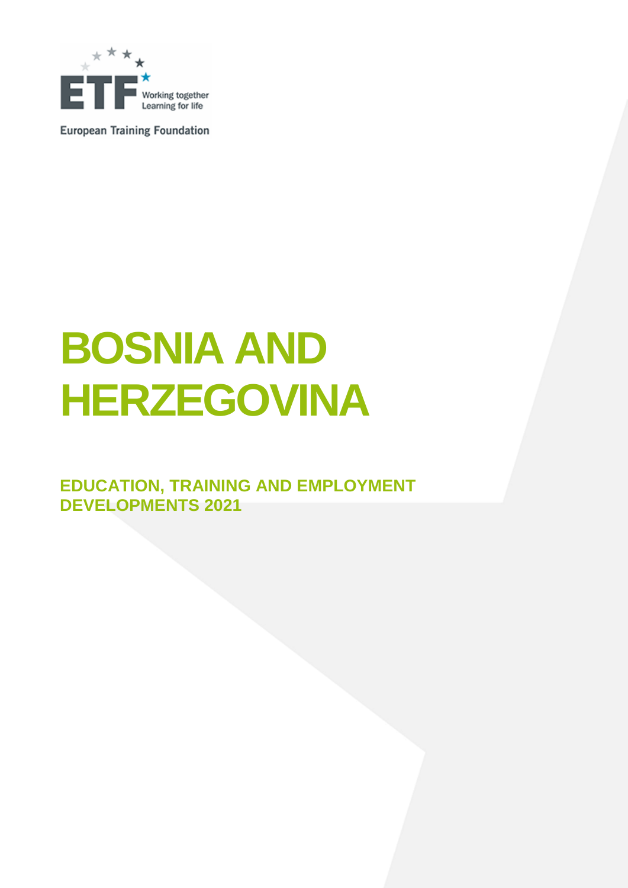

**European Training Foundation** 

# **BOSNIA AND HERZEGOVINA**

**EDUCATION, TRAINING AND EMPLOYMENT DEVELOPMENTS 2021**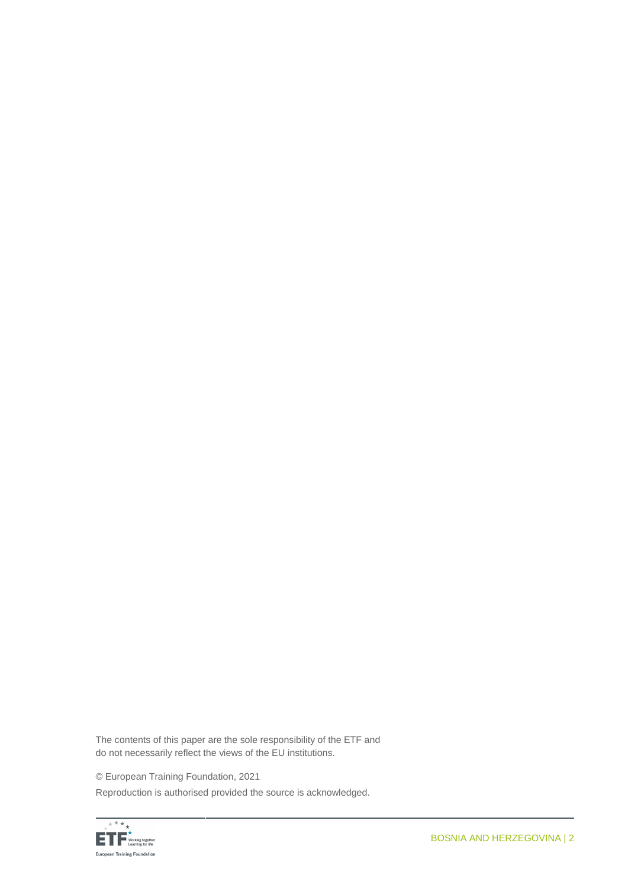The contents of this paper are the sole responsibility of the ETF and do not necessarily reflect the views of the EU institutions.

© European Training Foundation, 2021

Reproduction is authorised provided the source is acknowledged.

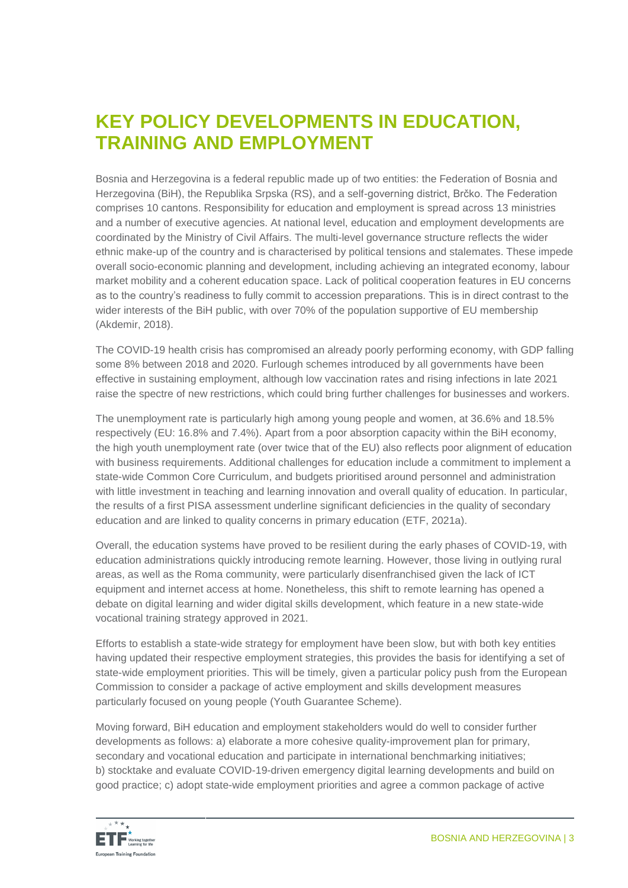### **KEY POLICY DEVELOPMENTS IN EDUCATION, TRAINING AND EMPLOYMENT**

Bosnia and Herzegovina is a federal republic made up of two entities: the Federation of Bosnia and Herzegovina (BiH), the Republika Srpska (RS), and a self-governing district, Brčko. The Federation comprises 10 cantons. Responsibility for education and employment is spread across 13 ministries and a number of executive agencies. At national level, education and employment developments are coordinated by the Ministry of Civil Affairs. The multi-level governance structure reflects the wider ethnic make-up of the country and is characterised by political tensions and stalemates. These impede overall socio-economic planning and development, including achieving an integrated economy, labour market mobility and a coherent education space. Lack of political cooperation features in EU concerns as to the country's readiness to fully commit to accession preparations. This is in direct contrast to the wider interests of the BiH public, with over 70% of the population supportive of EU membership (Akdemir, 2018).

The COVID-19 health crisis has compromised an already poorly performing economy, with GDP falling some 8% between 2018 and 2020. Furlough schemes introduced by all governments have been effective in sustaining employment, although low vaccination rates and rising infections in late 2021 raise the spectre of new restrictions, which could bring further challenges for businesses and workers.

The unemployment rate is particularly high among young people and women, at 36.6% and 18.5% respectively (EU: 16.8% and 7.4%). Apart from a poor absorption capacity within the BiH economy, the high youth unemployment rate (over twice that of the EU) also reflects poor alignment of education with business requirements. Additional challenges for education include a commitment to implement a state-wide Common Core Curriculum, and budgets prioritised around personnel and administration with little investment in teaching and learning innovation and overall quality of education. In particular, the results of a first PISA assessment underline significant deficiencies in the quality of secondary education and are linked to quality concerns in primary education (ETF, 2021a).

Overall, the education systems have proved to be resilient during the early phases of COVID-19, with education administrations quickly introducing remote learning. However, those living in outlying rural areas, as well as the Roma community, were particularly disenfranchised given the lack of ICT equipment and internet access at home. Nonetheless, this shift to remote learning has opened a debate on digital learning and wider digital skills development, which feature in a new state-wide vocational training strategy approved in 2021.

Efforts to establish a state-wide strategy for employment have been slow, but with both key entities having updated their respective employment strategies, this provides the basis for identifying a set of state-wide employment priorities. This will be timely, given a particular policy push from the European Commission to consider a package of active employment and skills development measures particularly focused on young people (Youth Guarantee Scheme).

Moving forward, BiH education and employment stakeholders would do well to consider further developments as follows: a) elaborate a more cohesive quality-improvement plan for primary, secondary and vocational education and participate in international benchmarking initiatives; b) stocktake and evaluate COVID-19-driven emergency digital learning developments and build on good practice; c) adopt state-wide employment priorities and agree a common package of active

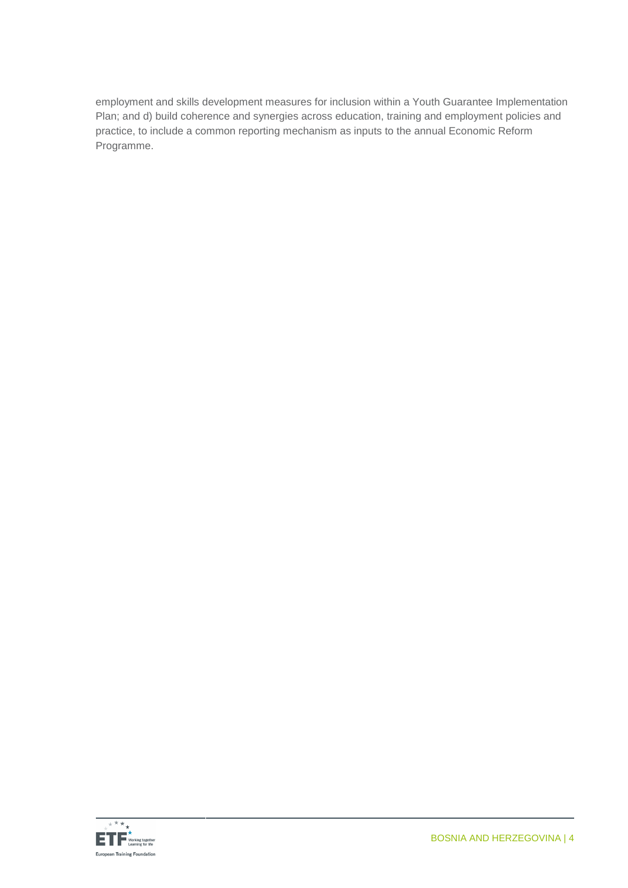employment and skills development measures for inclusion within a Youth Guarantee Implementation Plan; and d) build coherence and synergies across education, training and employment policies and practice, to include a common reporting mechanism as inputs to the annual Economic Reform Programme.

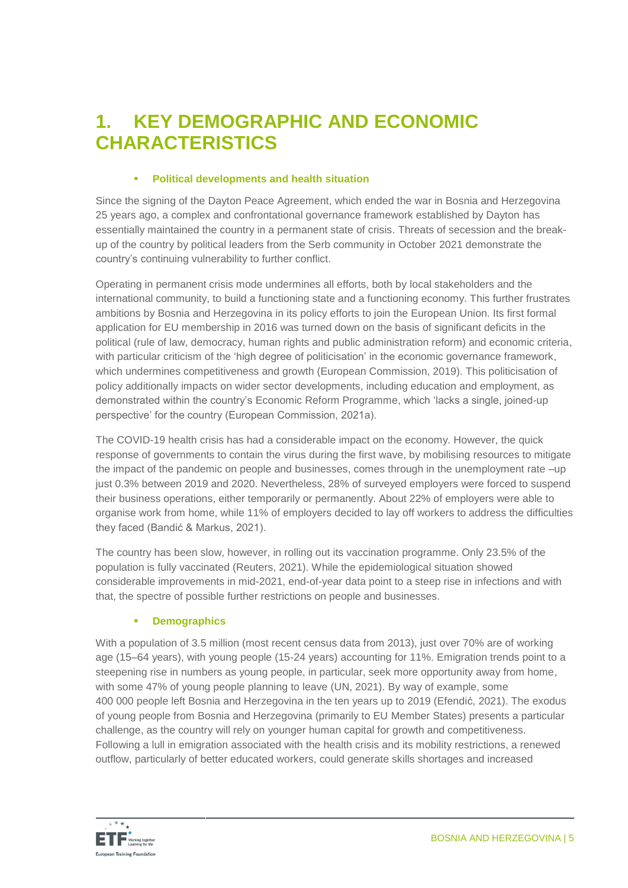### **1. KEY DEMOGRAPHIC AND ECONOMIC CHARACTERISTICS**

#### **Political developments and health situation**

Since the signing of the Dayton Peace Agreement, which ended the war in Bosnia and Herzegovina 25 years ago, a complex and confrontational governance framework established by Dayton has essentially maintained the country in a permanent state of crisis. Threats of secession and the breakup of the country by political leaders from the Serb community in October 2021 demonstrate the country's continuing vulnerability to further conflict.

Operating in permanent crisis mode undermines all efforts, both by local stakeholders and the international community, to build a functioning state and a functioning economy. This further frustrates ambitions by Bosnia and Herzegovina in its policy efforts to join the European Union. Its first formal application for EU membership in 2016 was turned down on the basis of significant deficits in the political (rule of law, democracy, human rights and public administration reform) and economic criteria, with particular criticism of the 'high degree of politicisation' in the economic governance framework, which undermines competitiveness and growth (European Commission, 2019). This politicisation of policy additionally impacts on wider sector developments, including education and employment, as demonstrated within the country's Economic Reform Programme, which 'lacks a single, joined-up perspective' for the country (European Commission, 2021a).

The COVID-19 health crisis has had a considerable impact on the economy. However, the quick response of governments to contain the virus during the first wave, by mobilising resources to mitigate the impact of the pandemic on people and businesses, comes through in the unemployment rate –up just 0.3% between 2019 and 2020. Nevertheless, 28% of surveyed employers were forced to suspend their business operations, either temporarily or permanently. About 22% of employers were able to organise work from home, while 11% of employers decided to lay off workers to address the difficulties they faced (Bandić & Markus, 2021).

The country has been slow, however, in rolling out its vaccination programme. Only 23.5% of the population is fully vaccinated (Reuters, 2021). While the epidemiological situation showed considerable improvements in mid-2021, end-of-year data point to a steep rise in infections and with that, the spectre of possible further restrictions on people and businesses.

#### **E** Demographics

With a population of 3.5 million (most recent census data from 2013), just over 70% are of working age (15–64 years), with young people (15-24 years) accounting for 11%. Emigration trends point to a steepening rise in numbers as young people, in particular, seek more opportunity away from home, with some 47% of young people planning to leave (UN, 2021). By way of example, some 400 000 people left Bosnia and Herzegovina in the ten years up to 2019 (Efendić, 2021). The exodus of young people from Bosnia and Herzegovina (primarily to EU Member States) presents a particular challenge, as the country will rely on younger human capital for growth and competitiveness. Following a lull in emigration associated with the health crisis and its mobility restrictions, a renewed outflow, particularly of better educated workers, could generate skills shortages and increased

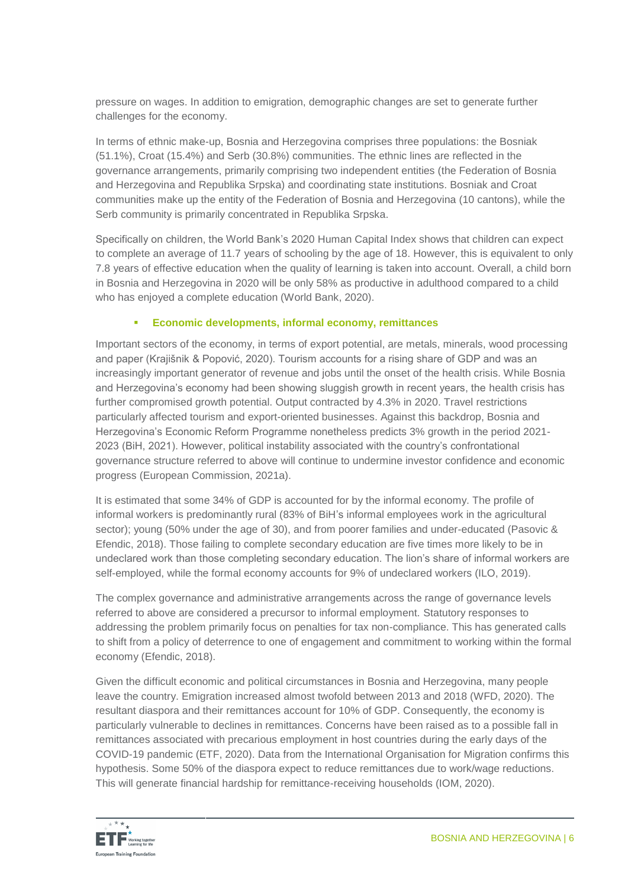pressure on wages. In addition to emigration, demographic changes are set to generate further challenges for the economy.

In terms of ethnic make-up, Bosnia and Herzegovina comprises three populations: the Bosniak (51.1%), Croat (15.4%) and Serb (30.8%) communities. The ethnic lines are reflected in the governance arrangements, primarily comprising two independent entities (the Federation of Bosnia and Herzegovina and Republika Srpska) and coordinating state institutions. Bosniak and Croat communities make up the entity of the Federation of Bosnia and Herzegovina (10 cantons), while the Serb community is primarily concentrated in Republika Srpska.

Specifically on children, the World Bank's 2020 Human Capital Index shows that children can expect to complete an average of 11.7 years of schooling by the age of 18. However, this is equivalent to only 7.8 years of effective education when the quality of learning is taken into account. Overall, a child born in Bosnia and Herzegovina in 2020 will be only 58% as productive in adulthood compared to a child who has enjoyed a complete education (World Bank, 2020).

#### **Economic developments, informal economy, remittances**

Important sectors of the economy, in terms of export potential, are metals, minerals, wood processing and paper (Krajišnik & Popović, 2020). Tourism accounts for a rising share of GDP and was an increasingly important generator of revenue and jobs until the onset of the health crisis. While Bosnia and Herzegovina's economy had been showing sluggish growth in recent years, the health crisis has further compromised growth potential. Output contracted by 4.3% in 2020. Travel restrictions particularly affected tourism and export-oriented businesses. Against this backdrop, Bosnia and Herzegovina's Economic Reform Programme nonetheless predicts 3% growth in the period 2021- 2023 (BiH, 2021). However, political instability associated with the country's confrontational governance structure referred to above will continue to undermine investor confidence and economic progress (European Commission, 2021a).

It is estimated that some 34% of GDP is accounted for by the informal economy. The profile of informal workers is predominantly rural (83% of BiH's informal employees work in the agricultural sector); young (50% under the age of 30), and from poorer families and under-educated (Pasovic & Efendic, 2018). Those failing to complete secondary education are five times more likely to be in undeclared work than those completing secondary education. The lion's share of informal workers are self-employed, while the formal economy accounts for 9% of undeclared workers (ILO, 2019).

The complex governance and administrative arrangements across the range of governance levels referred to above are considered a precursor to informal employment. Statutory responses to addressing the problem primarily focus on penalties for tax non-compliance. This has generated calls to shift from a policy of deterrence to one of engagement and commitment to working within the formal economy (Efendic, 2018).

Given the difficult economic and political circumstances in Bosnia and Herzegovina, many people leave the country. Emigration increased almost twofold between 2013 and 2018 (WFD, 2020). The resultant diaspora and their remittances account for 10% of GDP. Consequently, the economy is particularly vulnerable to declines in remittances. Concerns have been raised as to a possible fall in remittances associated with precarious employment in host countries during the early days of the COVID-19 pandemic (ETF, 2020). Data from the International Organisation for Migration confirms this hypothesis. Some 50% of the diaspora expect to reduce remittances due to work/wage reductions. This will generate financial hardship for remittance-receiving households (IOM, 2020).

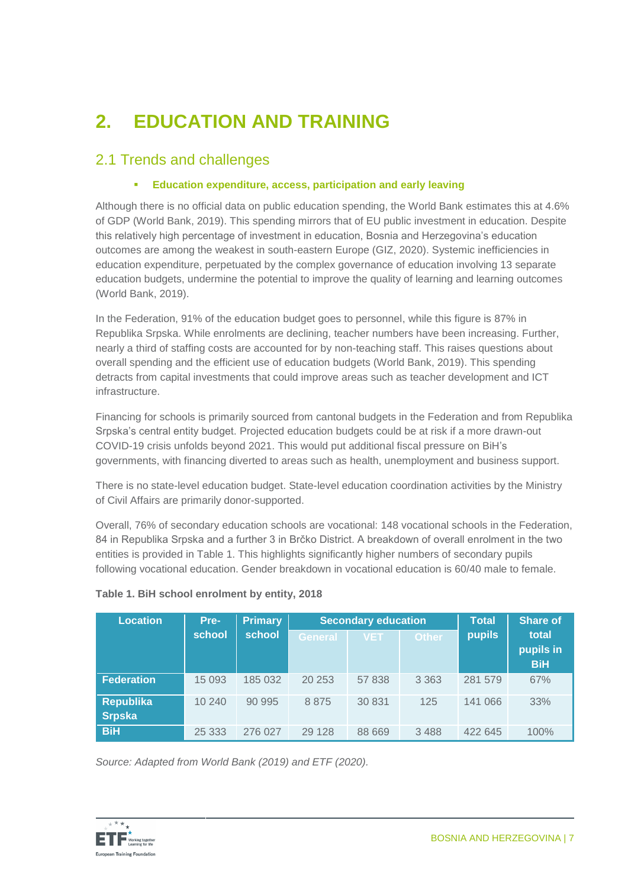# **2. EDUCATION AND TRAINING**

### 2.1 Trends and challenges

#### **Education expenditure, access, participation and early leaving**

Although there is no official data on public education spending, the World Bank estimates this at 4.6% of GDP (World Bank, 2019). This spending mirrors that of EU public investment in education. Despite this relatively high percentage of investment in education, Bosnia and Herzegovina's education outcomes are among the weakest in south-eastern Europe (GIZ, 2020). Systemic inefficiencies in education expenditure, perpetuated by the complex governance of education involving 13 separate education budgets, undermine the potential to improve the quality of learning and learning outcomes (World Bank, 2019).

In the Federation, 91% of the education budget goes to personnel, while this figure is 87% in Republika Srpska. While enrolments are declining, teacher numbers have been increasing. Further, nearly a third of staffing costs are accounted for by non-teaching staff. This raises questions about overall spending and the efficient use of education budgets (World Bank, 2019). This spending detracts from capital investments that could improve areas such as teacher development and ICT infrastructure.

Financing for schools is primarily sourced from cantonal budgets in the Federation and from Republika Srpska's central entity budget. Projected education budgets could be at risk if a more drawn-out COVID-19 crisis unfolds beyond 2021. This would put additional fiscal pressure on BiH's governments, with financing diverted to areas such as health, unemployment and business support.

There is no state-level education budget. State-level education coordination activities by the Ministry of Civil Affairs are primarily donor-supported.

Overall, 76% of secondary education schools are vocational: 148 vocational schools in the Federation, 84 in Republika Srpska and a further 3 in Brčko District. A breakdown of overall enrolment in the two entities is provided in Table 1. This highlights significantly higher numbers of secondary pupils following vocational education. Gender breakdown in vocational education is 60/40 male to female.

| <b>Location</b>                   | Pre-     | <b>Primary</b> |         | <b>Secondary education</b> |              | <b>Total</b>  | <b>Share of</b>                  |
|-----------------------------------|----------|----------------|---------|----------------------------|--------------|---------------|----------------------------------|
|                                   | school   | school         | General | <b>VET</b>                 | <b>Other</b> | <b>pupils</b> | total<br>pupils in<br><b>BiH</b> |
| <b>Federation</b>                 | 15 0 93  | 185 032        | 20 253  | 57 838                     | 3 3 6 3      | 281 579       | 67%                              |
| <b>Republika</b><br><b>Srpska</b> | 10 240   | 90 995         | 8875    | 30 831                     | 125          | 141 066       | 33%                              |
| <b>BiH</b>                        | 25 3 3 3 | 276 027        | 29 1 28 | 88 669                     | 3 4 8 8      | 422 645       | 100%                             |

#### **Table 1. BiH school enrolment by entity, 2018**

*Source: Adapted from World Bank (2019) and ETF (2020).*

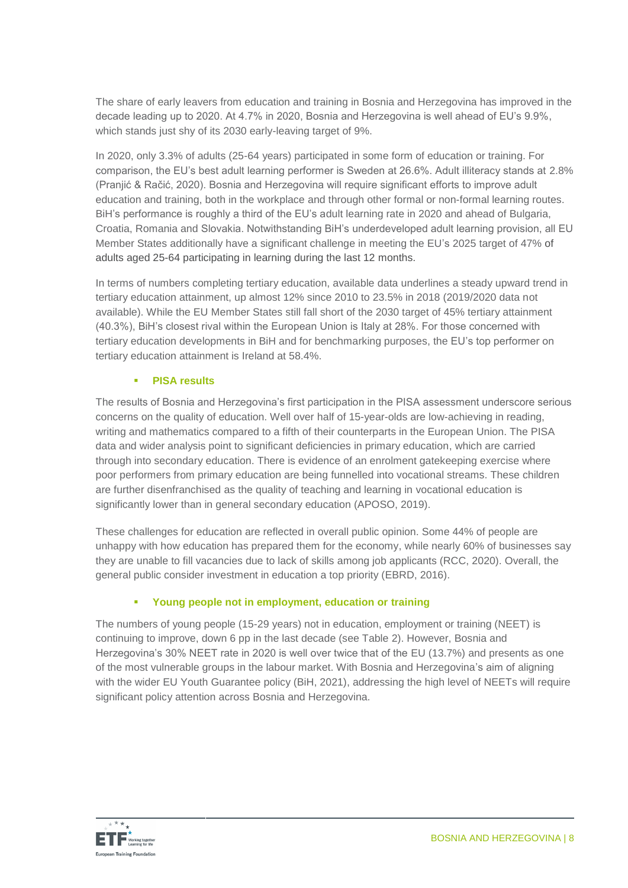The share of early leavers from education and training in Bosnia and Herzegovina has improved in the decade leading up to 2020. At 4.7% in 2020, Bosnia and Herzegovina is well ahead of EU's 9.9%, which stands just shy of its 2030 early-leaving target of 9%.

In 2020, only 3.3% of adults (25-64 years) participated in some form of education or training. For comparison, the EU's best adult learning performer is Sweden at 26.6%. Adult illiteracy stands at 2.8% (Pranjić & Račić, 2020). Bosnia and Herzegovina will require significant efforts to improve adult education and training, both in the workplace and through other formal or non-formal learning routes. BiH's performance is roughly a third of the EU's adult learning rate in 2020 and ahead of Bulgaria, Croatia, Romania and Slovakia. Notwithstanding BiH's underdeveloped adult learning provision, all EU Member States additionally have a significant challenge in meeting the EU's 2025 target of 47% of adults aged 25-64 participating in learning during the last 12 months.

In terms of numbers completing tertiary education, available data underlines a steady upward trend in tertiary education attainment, up almost 12% since 2010 to 23.5% in 2018 (2019/2020 data not available). While the EU Member States still fall short of the 2030 target of 45% tertiary attainment (40.3%), BiH's closest rival within the European Union is Italy at 28%. For those concerned with tertiary education developments in BiH and for benchmarking purposes, the EU's top performer on tertiary education attainment is Ireland at 58.4%.

#### **PISA results**

The results of Bosnia and Herzegovina's first participation in the PISA assessment underscore serious concerns on the quality of education. Well over half of 15-year-olds are low-achieving in reading, writing and mathematics compared to a fifth of their counterparts in the European Union. The PISA data and wider analysis point to significant deficiencies in primary education, which are carried through into secondary education. There is evidence of an enrolment gatekeeping exercise where poor performers from primary education are being funnelled into vocational streams. These children are further disenfranchised as the quality of teaching and learning in vocational education is significantly lower than in general secondary education (APOSO, 2019).

These challenges for education are reflected in overall public opinion. Some 44% of people are unhappy with how education has prepared them for the economy, while nearly 60% of businesses say they are unable to fill vacancies due to lack of skills among job applicants (RCC, 2020). Overall, the general public consider investment in education a top priority (EBRD, 2016).

#### **Young people not in employment, education or training**

The numbers of young people (15-29 years) not in education, employment or training (NEET) is continuing to improve, down 6 pp in the last decade (see Table 2). However, Bosnia and Herzegovina's 30% NEET rate in 2020 is well over twice that of the EU (13.7%) and presents as one of the most vulnerable groups in the labour market. With Bosnia and Herzegovina's aim of aligning with the wider EU Youth Guarantee policy (BiH, 2021), addressing the high level of NEETs will require significant policy attention across Bosnia and Herzegovina.

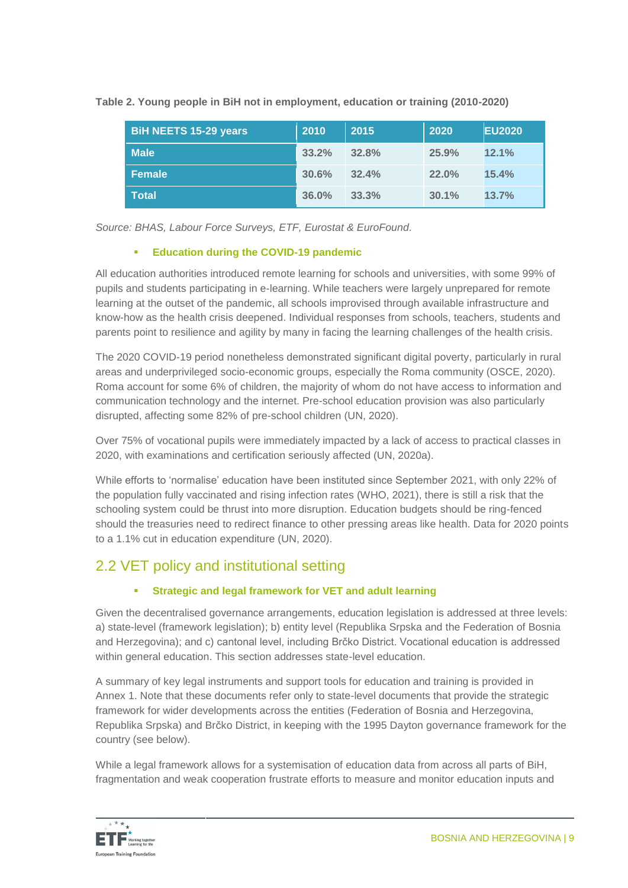**Table 2. Young people in BiH not in employment, education or training (2010-2020)**

| BiH NEETS 15-29 years | 2010  | 2015  | 2020     | <b>EU2020</b> |
|-----------------------|-------|-------|----------|---------------|
| <b>Male</b>           | 33.2% | 32.8% | 25.9%    | 12.1%         |
| <b>Female</b>         | 30.6% | 32.4% | $22.0\%$ | 15.4%         |
| <b>Total</b>          | 36.0% | 33.3% | 30.1%    | 13.7%         |

*Source: BHAS, Labour Force Surveys, ETF, Eurostat & EuroFound.*

#### **Education during the COVID-19 pandemic**

All education authorities introduced remote learning for schools and universities, with some 99% of pupils and students participating in e-learning. While teachers were largely unprepared for remote learning at the outset of the pandemic, all schools improvised through available infrastructure and know-how as the health crisis deepened. Individual responses from schools, teachers, students and parents point to resilience and agility by many in facing the learning challenges of the health crisis.

The 2020 COVID-19 period nonetheless demonstrated significant digital poverty, particularly in rural areas and underprivileged socio-economic groups, especially the Roma community (OSCE, 2020). Roma account for some 6% of children, the majority of whom do not have access to information and communication technology and the internet. Pre-school education provision was also particularly disrupted, affecting some 82% of pre-school children (UN, 2020).

Over 75% of vocational pupils were immediately impacted by a lack of access to practical classes in 2020, with examinations and certification seriously affected (UN, 2020a).

While efforts to 'normalise' education have been instituted since September 2021, with only 22% of the population fully vaccinated and rising infection rates (WHO, 2021), there is still a risk that the schooling system could be thrust into more disruption. Education budgets should be ring-fenced should the treasuries need to redirect finance to other pressing areas like health. Data for 2020 points to a 1.1% cut in education expenditure (UN, 2020).

### 2.2 VET policy and institutional setting

#### **Strategic and legal framework for VET and adult learning**

Given the decentralised governance arrangements, education legislation is addressed at three levels: a) state-level (framework legislation); b) entity level (Republika Srpska and the Federation of Bosnia and Herzegovina); and c) cantonal level, including Brčko District. Vocational education is addressed within general education. This section addresses state-level education.

A summary of key legal instruments and support tools for education and training is provided in Annex 1. Note that these documents refer only to state-level documents that provide the strategic framework for wider developments across the entities (Federation of Bosnia and Herzegovina, Republika Srpska) and Brčko District, in keeping with the 1995 Dayton governance framework for the country (see below).

While a legal framework allows for a systemisation of education data from across all parts of BiH, fragmentation and weak cooperation frustrate efforts to measure and monitor education inputs and

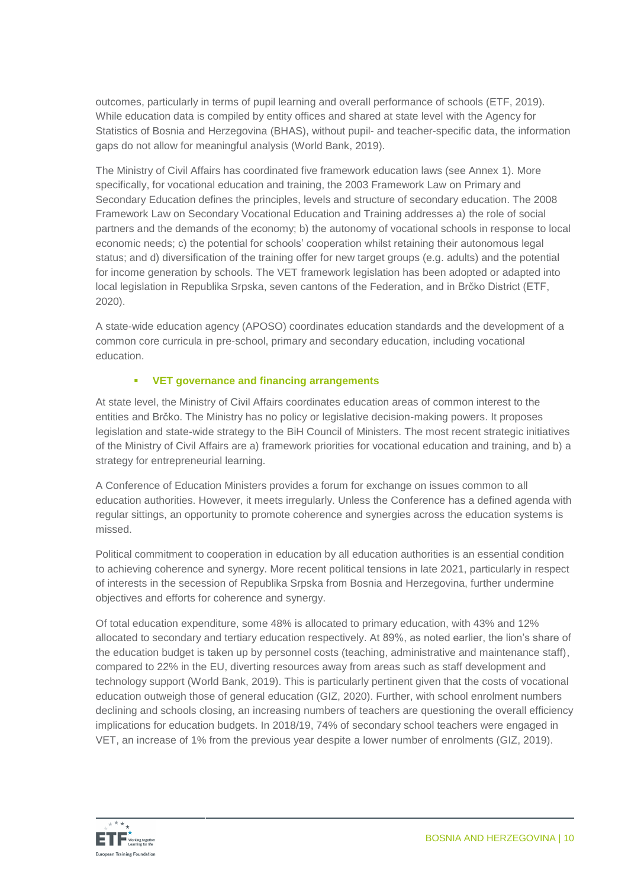outcomes, particularly in terms of pupil learning and overall performance of schools (ETF, 2019). While education data is compiled by entity offices and shared at state level with the Agency for Statistics of Bosnia and Herzegovina (BHAS), without pupil- and teacher-specific data, the information gaps do not allow for meaningful analysis (World Bank, 2019).

The Ministry of Civil Affairs has coordinated five framework education laws (see Annex 1). More specifically, for vocational education and training, the 2003 Framework Law on Primary and Secondary Education defines the principles, levels and structure of secondary education. The 2008 Framework Law on Secondary Vocational Education and Training addresses a) the role of social partners and the demands of the economy; b) the autonomy of vocational schools in response to local economic needs; c) the potential for schools' cooperation whilst retaining their autonomous legal status; and d) diversification of the training offer for new target groups (e.g. adults) and the potential for income generation by schools. The VET framework legislation has been adopted or adapted into local legislation in Republika Srpska, seven cantons of the Federation, and in Brčko District (ETF, 2020).

A state-wide education agency (APOSO) coordinates education standards and the development of a common core curricula in pre-school, primary and secondary education, including vocational education.

#### **VET governance and financing arrangements**

At state level, the Ministry of Civil Affairs coordinates education areas of common interest to the entities and Brčko. The Ministry has no policy or legislative decision-making powers. It proposes legislation and state-wide strategy to the BiH Council of Ministers. The most recent strategic initiatives of the Ministry of Civil Affairs are a) framework priorities for vocational education and training, and b) a strategy for entrepreneurial learning.

A Conference of Education Ministers provides a forum for exchange on issues common to all education authorities. However, it meets irregularly. Unless the Conference has a defined agenda with regular sittings, an opportunity to promote coherence and synergies across the education systems is missed.

Political commitment to cooperation in education by all education authorities is an essential condition to achieving coherence and synergy. More recent political tensions in late 2021, particularly in respect of interests in the secession of Republika Srpska from Bosnia and Herzegovina, further undermine objectives and efforts for coherence and synergy.

Of total education expenditure, some 48% is allocated to primary education, with 43% and 12% allocated to secondary and tertiary education respectively. At 89%, as noted earlier, the lion's share of the education budget is taken up by personnel costs (teaching, administrative and maintenance staff), compared to 22% in the EU, diverting resources away from areas such as staff development and technology support (World Bank, 2019). This is particularly pertinent given that the costs of vocational education outweigh those of general education (GIZ, 2020). Further, with school enrolment numbers declining and schools closing, an increasing numbers of teachers are questioning the overall efficiency implications for education budgets. In 2018/19, 74% of secondary school teachers were engaged in VET, an increase of 1% from the previous year despite a lower number of enrolments (GIZ, 2019).

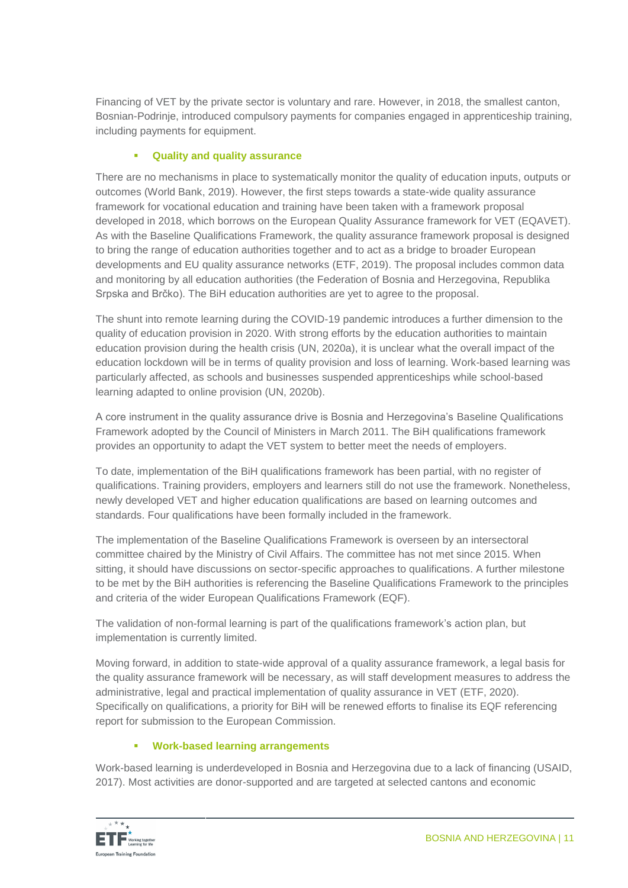Financing of VET by the private sector is voluntary and rare. However, in 2018, the smallest canton, Bosnian-Podrinje, introduced compulsory payments for companies engaged in apprenticeship training, including payments for equipment.

#### **Quality and quality assurance**

There are no mechanisms in place to systematically monitor the quality of education inputs, outputs or outcomes (World Bank, 2019). However, the first steps towards a state-wide quality assurance framework for vocational education and training have been taken with a framework proposal developed in 2018, which borrows on the European Quality Assurance framework for VET (EQAVET). As with the Baseline Qualifications Framework, the quality assurance framework proposal is designed to bring the range of education authorities together and to act as a bridge to broader European developments and EU quality assurance networks (ETF, 2019). The proposal includes common data and monitoring by all education authorities (the Federation of Bosnia and Herzegovina, Republika Srpska and Brčko). The BiH education authorities are yet to agree to the proposal.

The shunt into remote learning during the COVID-19 pandemic introduces a further dimension to the quality of education provision in 2020. With strong efforts by the education authorities to maintain education provision during the health crisis (UN, 2020a), it is unclear what the overall impact of the education lockdown will be in terms of quality provision and loss of learning. Work-based learning was particularly affected, as schools and businesses suspended apprenticeships while school-based learning adapted to online provision (UN, 2020b).

A core instrument in the quality assurance drive is Bosnia and Herzegovina's Baseline Qualifications Framework adopted by the Council of Ministers in March 2011. The BiH qualifications framework provides an opportunity to adapt the VET system to better meet the needs of employers.

To date, implementation of the BiH qualifications framework has been partial, with no register of qualifications. Training providers, employers and learners still do not use the framework. Nonetheless, newly developed VET and higher education qualifications are based on learning outcomes and standards. Four qualifications have been formally included in the framework.

The implementation of the Baseline Qualifications Framework is overseen by an intersectoral committee chaired by the Ministry of Civil Affairs. The committee has not met since 2015. When sitting, it should have discussions on sector-specific approaches to qualifications. A further milestone to be met by the BiH authorities is referencing the Baseline Qualifications Framework to the principles and criteria of the wider European Qualifications Framework (EQF).

The validation of non-formal learning is part of the qualifications framework's action plan, but implementation is currently limited.

Moving forward, in addition to state-wide approval of a quality assurance framework, a legal basis for the quality assurance framework will be necessary, as will staff development measures to address the administrative, legal and practical implementation of quality assurance in VET (ETF, 2020). Specifically on qualifications, a priority for BiH will be renewed efforts to finalise its EQF referencing report for submission to the European Commission.

#### **Work-based learning arrangements**

Work-based learning is underdeveloped in Bosnia and Herzegovina due to a lack of financing (USAID, 2017). Most activities are donor-supported and are targeted at selected cantons and economic

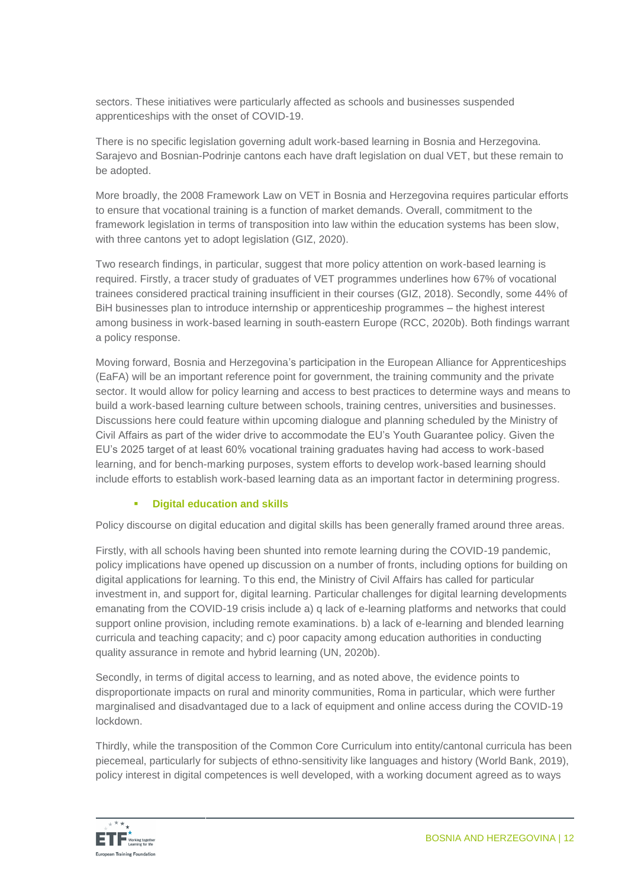sectors. These initiatives were particularly affected as schools and businesses suspended apprenticeships with the onset of COVID-19.

There is no specific legislation governing adult work-based learning in Bosnia and Herzegovina. Sarajevo and Bosnian-Podrinje cantons each have draft legislation on dual VET, but these remain to be adopted.

More broadly, the 2008 Framework Law on VET in Bosnia and Herzegovina requires particular efforts to ensure that vocational training is a function of market demands. Overall, commitment to the framework legislation in terms of transposition into law within the education systems has been slow, with three cantons yet to adopt legislation (GIZ, 2020).

Two research findings, in particular, suggest that more policy attention on work-based learning is required. Firstly, a tracer study of graduates of VET programmes underlines how 67% of vocational trainees considered practical training insufficient in their courses (GIZ, 2018). Secondly, some 44% of BiH businesses plan to introduce internship or apprenticeship programmes – the highest interest among business in work-based learning in south-eastern Europe (RCC, 2020b). Both findings warrant a policy response.

Moving forward, Bosnia and Herzegovina's participation in the European Alliance for Apprenticeships (EaFA) will be an important reference point for government, the training community and the private sector. It would allow for policy learning and access to best practices to determine ways and means to build a work-based learning culture between schools, training centres, universities and businesses. Discussions here could feature within upcoming dialogue and planning scheduled by the Ministry of Civil Affairs as part of the wider drive to accommodate the EU's Youth Guarantee policy. Given the EU's 2025 target of at least 60% vocational training graduates having had access to work-based learning, and for bench-marking purposes, system efforts to develop work-based learning should include efforts to establish work-based learning data as an important factor in determining progress.

#### **Digital education and skills**

Policy discourse on digital education and digital skills has been generally framed around three areas.

Firstly, with all schools having been shunted into remote learning during the COVID-19 pandemic, policy implications have opened up discussion on a number of fronts, including options for building on digital applications for learning. To this end, the Ministry of Civil Affairs has called for particular investment in, and support for, digital learning. Particular challenges for digital learning developments emanating from the COVID-19 crisis include a) q lack of e-learning platforms and networks that could support online provision, including remote examinations. b) a lack of e-learning and blended learning curricula and teaching capacity; and c) poor capacity among education authorities in conducting quality assurance in remote and hybrid learning (UN, 2020b).

Secondly, in terms of digital access to learning, and as noted above, the evidence points to disproportionate impacts on rural and minority communities, Roma in particular, which were further marginalised and disadvantaged due to a lack of equipment and online access during the COVID-19 lockdown.

Thirdly, while the transposition of the Common Core Curriculum into entity/cantonal curricula has been piecemeal, particularly for subjects of ethno-sensitivity like languages and history (World Bank, 2019), policy interest in digital competences is well developed, with a working document agreed as to ways

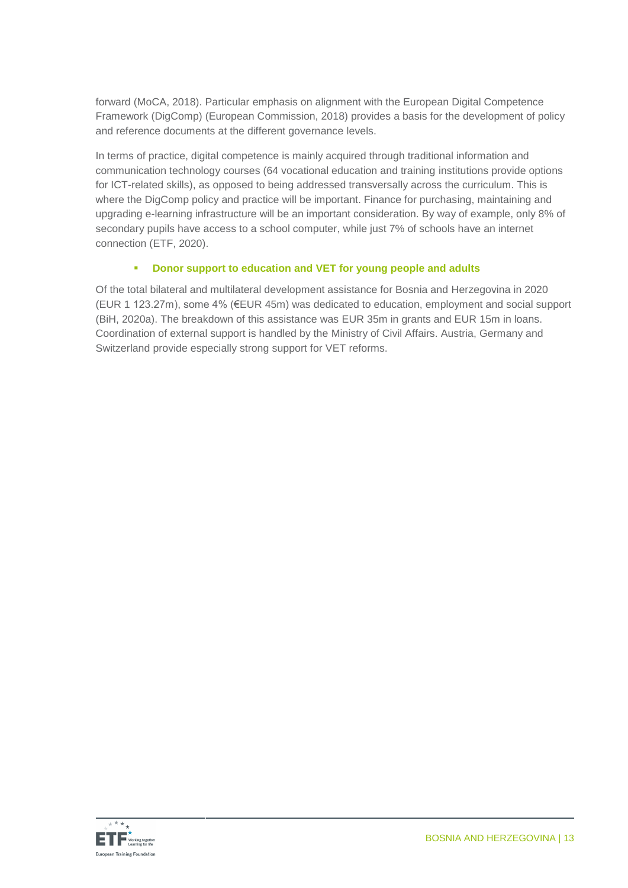forward (MoCA, 2018). Particular emphasis on alignment with the European Digital Competence Framework (DigComp) (European Commission, 2018) provides a basis for the development of policy and reference documents at the different governance levels.

In terms of practice, digital competence is mainly acquired through traditional information and communication technology courses (64 vocational education and training institutions provide options for ICT-related skills), as opposed to being addressed transversally across the curriculum. This is where the DigComp policy and practice will be important. Finance for purchasing, maintaining and upgrading e-learning infrastructure will be an important consideration. By way of example, only 8% of secondary pupils have access to a school computer, while just 7% of schools have an internet connection (ETF, 2020).

#### **Donor support to education and VET for young people and adults**

Of the total bilateral and multilateral development assistance for Bosnia and Herzegovina in 2020 (EUR 1 123.27m), some 4% (€EUR 45m) was dedicated to education, employment and social support (BiH, 2020a). The breakdown of this assistance was EUR 35m in grants and EUR 15m in loans. Coordination of external support is handled by the Ministry of Civil Affairs. Austria, Germany and Switzerland provide especially strong support for VET reforms.

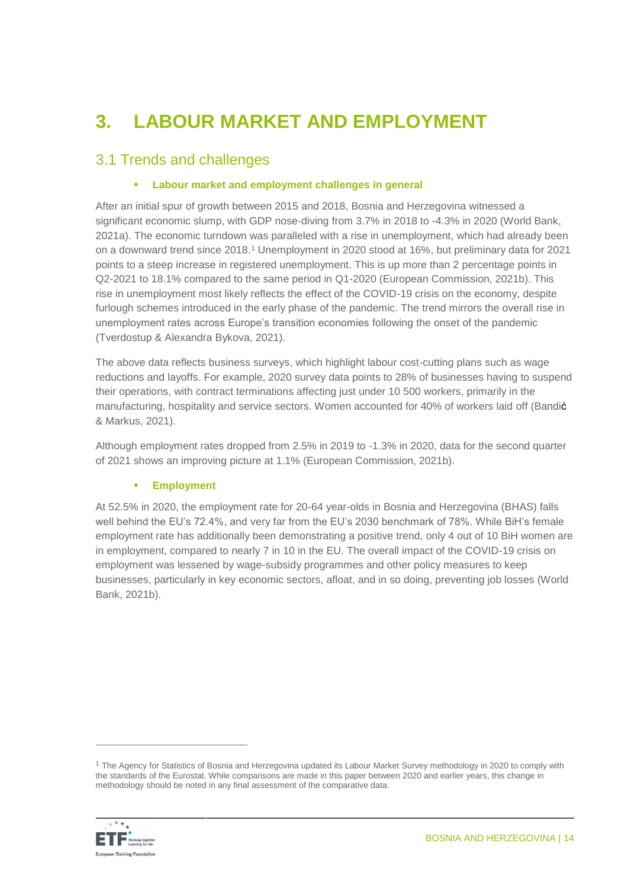# **3. LABOUR MARKET AND EMPLOYMENT**

### 3.1 Trends and challenges

#### **Labour market and employment challenges in general**

After an initial spur of growth between 2015 and 2018, Bosnia and Herzegovina witnessed a significant economic slump, with GDP nose-diving from 3.7% in 2018 to -4.3% in 2020 (World Bank, 2021a). The economic turndown was paralleled with a rise in unemployment, which had already been on a downward trend since 2018.<sup>1</sup> Unemployment in 2020 stood at 16%, but preliminary data for 2021 points to a steep increase in registered unemployment. This is up more than 2 percentage points in Q2-2021 to 18.1% compared to the same period in Q1-2020 (European Commission, 2021b). This rise in unemployment most likely reflects the effect of the COVID-19 crisis on the economy, despite furlough schemes introduced in the early phase of the pandemic. The trend mirrors the overall rise in unemployment rates across Europe's transition economies following the onset of the pandemic [\(Tverdostup](https://wiiw.ac.at/maryna-tverdostup-s-1587.html) & [Alexandra Bykova,](https://wiiw.ac.at/alexandra-bykova-s-857.html) 2021).

The above data reflects business surveys, which highlight labour cost-cutting plans such as wage reductions and layoffs. For example, 2020 survey data points to 28% of businesses having to suspend their operations, with contract terminations affecting just under 10 500 workers, primarily in the manufacturing, hospitality and service sectors. Women accounted for 40% of workers laid off (Bandić & Markus, 2021).

Although employment rates dropped from 2.5% in 2019 to -1.3% in 2020, data for the second quarter of 2021 shows an improving picture at 1.1% (European Commission, 2021b).

#### **Employment**

At 52.5% in 2020, the employment rate for 20-64 year-olds in Bosnia and Herzegovina (BHAS) falls well behind the EU's 72.4%, and very far from the EU's 2030 benchmark of 78%. While BiH's female employment rate has additionally been demonstrating a positive trend, only 4 out of 10 BiH women are in employment, compared to nearly 7 in 10 in the EU. The overall impact of the COVID-19 crisis on employment was lessened by wage-subsidy programmes and other policy measures to keep businesses, particularly in key economic sectors, afloat, and in so doing, preventing job losses (World Bank, 2021b).

<sup>&</sup>lt;sup>1</sup> The Agency for Statistics of Bosnia and Herzegovina updated its Labour Market Survey methodology in 2020 to comply with the standards of the Eurostat. While comparisons are made in this paper between 2020 and earlier years, this change in methodology should be noted in any final assessment of the comparative data.



 $\overline{a}$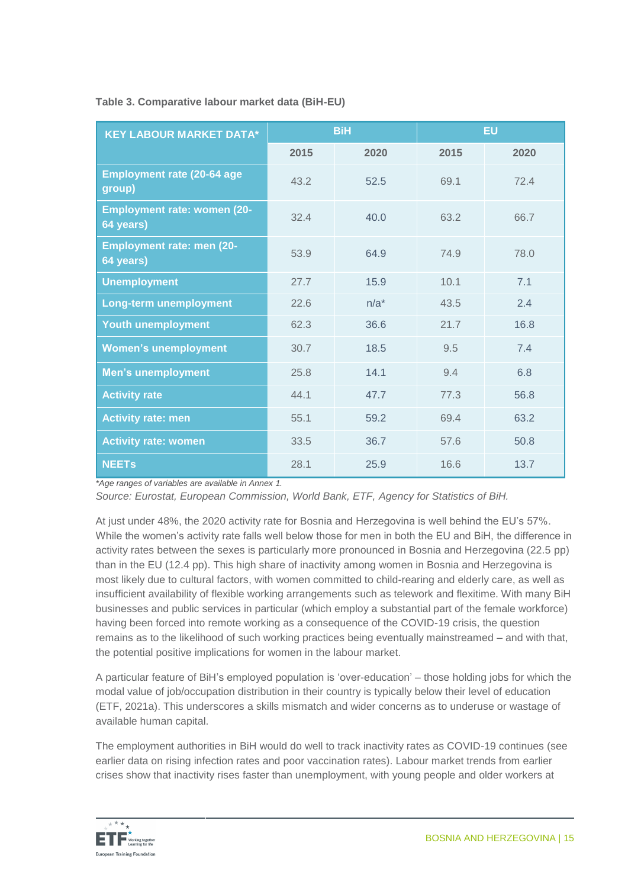#### **Table 3. Comparative labour market data (BiH-EU)**

| <b>KEY LABOUR MARKET DATA*</b>                  |      | <b>BiH</b> | <b>EU</b> |      |
|-------------------------------------------------|------|------------|-----------|------|
|                                                 | 2015 | 2020       | 2015      | 2020 |
| <b>Employment rate (20-64 age</b><br>group)     | 43.2 | 52.5       | 69.1      | 72.4 |
| <b>Employment rate: women (20-</b><br>64 years) | 32.4 | 40.0       | 63.2      | 66.7 |
| <b>Employment rate: men (20-</b><br>64 years)   | 53.9 | 64.9       | 74.9      | 78.0 |
| <b>Unemployment</b>                             | 27.7 | 15.9       | 10.1      | 7.1  |
| Long-term unemployment                          | 22.6 | $n/a^*$    | 43.5      | 2.4  |
| <b>Youth unemployment</b>                       | 62.3 | 36.6       | 21.7      | 16.8 |
| <b>Women's unemployment</b>                     | 30.7 | 18.5       | 9.5       | 7.4  |
| <b>Men's unemployment</b>                       | 25.8 | 14.1       | 9.4       | 6.8  |
| <b>Activity rate</b>                            | 44.1 | 47.7       | 77.3      | 56.8 |
| <b>Activity rate: men</b>                       | 55.1 | 59.2       | 69.4      | 63.2 |
| <b>Activity rate: women</b>                     | 33.5 | 36.7       | 57.6      | 50.8 |
| <b>NEETs</b>                                    | 28.1 | 25.9       | 16.6      | 13.7 |

*\*Age ranges of variables are available in Annex 1.*

*Source: Eurostat, European Commission, World Bank, ETF, Agency for Statistics of BiH.*

At just under 48%, the 2020 activity rate for Bosnia and Herzegovina is well behind the EU's 57%. While the women's activity rate falls well below those for men in both the EU and BiH, the difference in activity rates between the sexes is particularly more pronounced in Bosnia and Herzegovina (22.5 pp) than in the EU (12.4 pp). This high share of inactivity among women in Bosnia and Herzegovina is most likely due to cultural factors, with women committed to child-rearing and elderly care, as well as insufficient availability of flexible working arrangements such as telework and flexitime. With many BiH businesses and public services in particular (which employ a substantial part of the female workforce) having been forced into remote working as a consequence of the COVID-19 crisis, the question remains as to the likelihood of such working practices being eventually mainstreamed – and with that, the potential positive implications for women in the labour market.

A particular feature of BiH's employed population is 'over-education' – those holding jobs for which the modal value of job/occupation distribution in their country is typically below their level of education (ETF, 2021a). This underscores a skills mismatch and wider concerns as to underuse or wastage of available human capital.

The employment authorities in BiH would do well to track inactivity rates as COVID-19 continues (see earlier data on rising infection rates and poor vaccination rates). Labour market trends from earlier crises show that inactivity rises faster than unemployment, with young people and older workers at

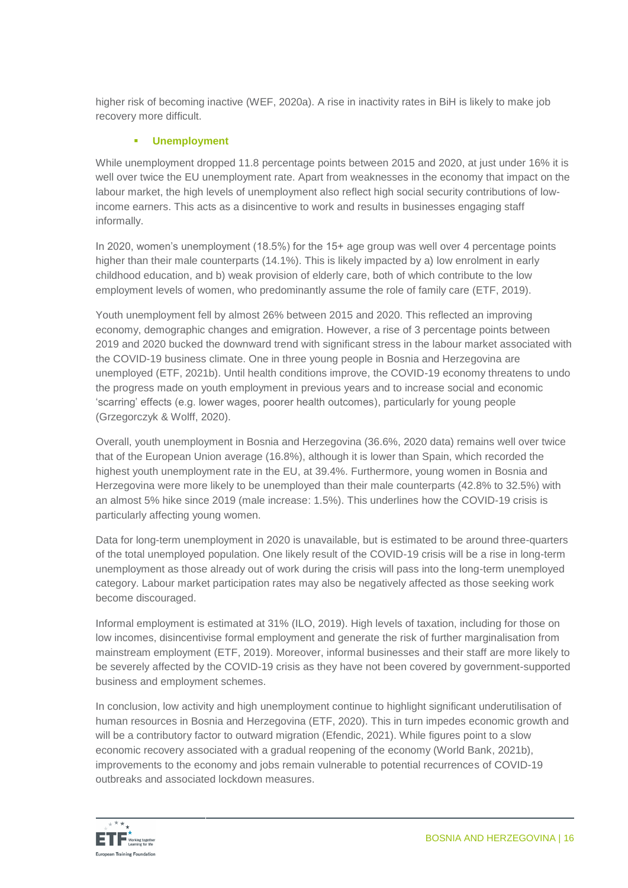higher risk of becoming inactive (WEF, 2020a). A rise in inactivity rates in BiH is likely to make job recovery more difficult.

#### **Unemployment**

While unemployment dropped 11.8 percentage points between 2015 and 2020, at just under 16% it is well over twice the EU unemployment rate. Apart from weaknesses in the economy that impact on the labour market, the high levels of unemployment also reflect high social security contributions of lowincome earners. This acts as a disincentive to work and results in businesses engaging staff informally.

In 2020, women's unemployment (18.5%) for the 15+ age group was well over 4 percentage points higher than their male counterparts (14.1%). This is likely impacted by a) low enrolment in early childhood education, and b) weak provision of elderly care, both of which contribute to the low employment levels of women, who predominantly assume the role of family care (ETF, 2019).

Youth unemployment fell by almost 26% between 2015 and 2020. This reflected an improving economy, demographic changes and emigration. However, a rise of 3 percentage points between 2019 and 2020 bucked the downward trend with significant stress in the labour market associated with the COVID-19 business climate. One in three young people in Bosnia and Herzegovina are unemployed (ETF, 2021b). Until health conditions improve, the COVID-19 economy threatens to undo the progress made on youth employment in previous years and to increase social and economic 'scarring' effects (e.g. lower wages, poorer health outcomes), particularly for young people (Grzegorczyk & Wolff, 2020).

Overall, youth unemployment in Bosnia and Herzegovina (36.6%, 2020 data) remains well over twice that of the European Union average (16.8%), although it is lower than Spain, which recorded the highest youth unemployment rate in the EU, at 39.4%. Furthermore, young women in Bosnia and Herzegovina were more likely to be unemployed than their male counterparts (42.8% to 32.5%) with an almost 5% hike since 2019 (male increase: 1.5%). This underlines how the COVID-19 crisis is particularly affecting young women.

Data for long-term unemployment in 2020 is unavailable, but is estimated to be around three-quarters of the total unemployed population. One likely result of the COVID-19 crisis will be a rise in long-term unemployment as those already out of work during the crisis will pass into the long-term unemployed category. Labour market participation rates may also be negatively affected as those seeking work become discouraged.

Informal employment is estimated at 31% (ILO, 2019). High levels of taxation, including for those on low incomes, disincentivise formal employment and generate the risk of further marginalisation from mainstream employment (ETF, 2019). Moreover, informal businesses and their staff are more likely to be severely affected by the COVID-19 crisis as they have not been covered by government-supported business and employment schemes.

In conclusion, low activity and high unemployment continue to highlight significant underutilisation of human resources in Bosnia and Herzegovina (ETF, 2020). This in turn impedes economic growth and will be a contributory factor to outward migration (Efendic, 2021). While figures point to a slow economic recovery associated with a gradual reopening of the economy (World Bank, 2021b), improvements to the economy and jobs remain vulnerable to potential recurrences of COVID-19 outbreaks and associated lockdown measures.

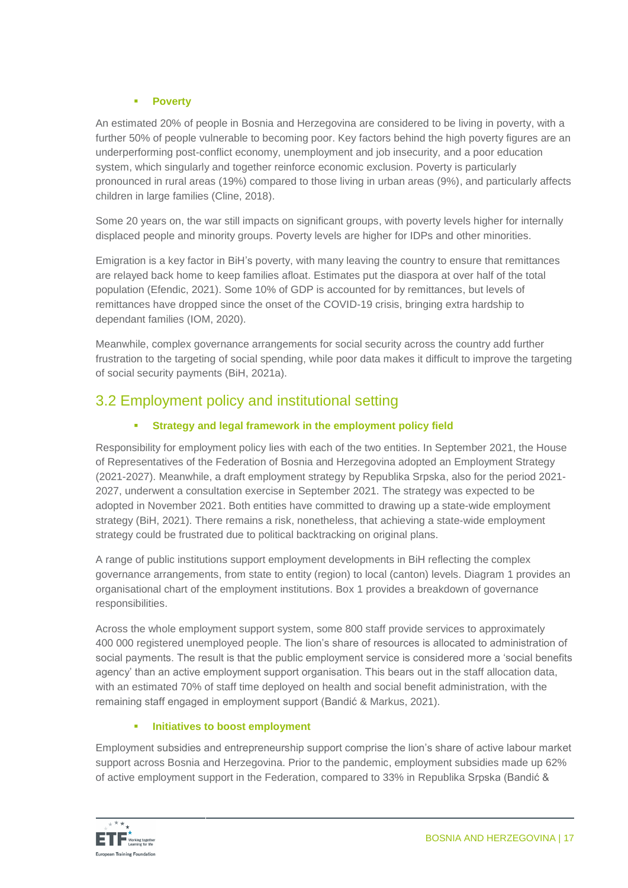#### **Poverty**

An estimated 20% of people in Bosnia and Herzegovina are considered to be living in poverty, with a further 50% of people vulnerable to becoming poor. Key factors behind the high poverty figures are an underperforming post-conflict economy, unemployment and job insecurity, and a poor education system, which singularly and together reinforce economic exclusion. Poverty is particularly pronounced in rural areas (19%) compared to those living in urban areas (9%), and particularly affects children in large families (Cline, 2018).

Some 20 years on, the war still impacts on significant groups, with poverty levels higher for internally displaced people and minority groups. Poverty levels are higher for IDPs and other minorities.

Emigration is a key factor in BiH's poverty, with many leaving the country to ensure that remittances are relayed back home to keep families afloat. Estimates put the diaspora at over half of the total population (Efendic, 2021). Some 10% of GDP is accounted for by remittances, but levels of remittances have dropped since the onset of the COVID-19 crisis, bringing extra hardship to dependant families (IOM, 2020).

Meanwhile, complex governance arrangements for social security across the country add further frustration to the targeting of social spending, while poor data makes it difficult to improve the targeting of social security payments (BiH, 2021a).

### 3.2 Employment policy and institutional setting

#### **Strategy and legal framework in the employment policy field**

Responsibility for employment policy lies with each of the two entities. In September 2021, the House of Representatives of the Federation of Bosnia and Herzegovina adopted an Employment Strategy (2021-2027). Meanwhile, a draft employment strategy by Republika Srpska, also for the period 2021- 2027, underwent a consultation exercise in September 2021. The strategy was expected to be adopted in November 2021. Both entities have committed to drawing up a state-wide employment strategy (BiH, 2021). There remains a risk, nonetheless, that achieving a state-wide employment strategy could be frustrated due to political backtracking on original plans.

A range of public institutions support employment developments in BiH reflecting the complex governance arrangements, from state to entity (region) to local (canton) levels. Diagram 1 provides an organisational chart of the employment institutions. Box 1 provides a breakdown of governance responsibilities.

Across the whole employment support system, some 800 staff provide services to approximately 400 000 registered unemployed people. The lion's share of resources is allocated to administration of social payments. The result is that the public employment service is considered more a 'social benefits agency' than an active employment support organisation. This bears out in the staff allocation data, with an estimated 70% of staff time deployed on health and social benefit administration, with the remaining staff engaged in employment support (Bandić & Markus, 2021).

#### **Initiatives to boost employment**

Employment subsidies and entrepreneurship support comprise the lion's share of active labour market support across Bosnia and Herzegovina. Prior to the pandemic, employment subsidies made up 62% of active employment support in the Federation, compared to 33% in Republika Srpska (Bandić &

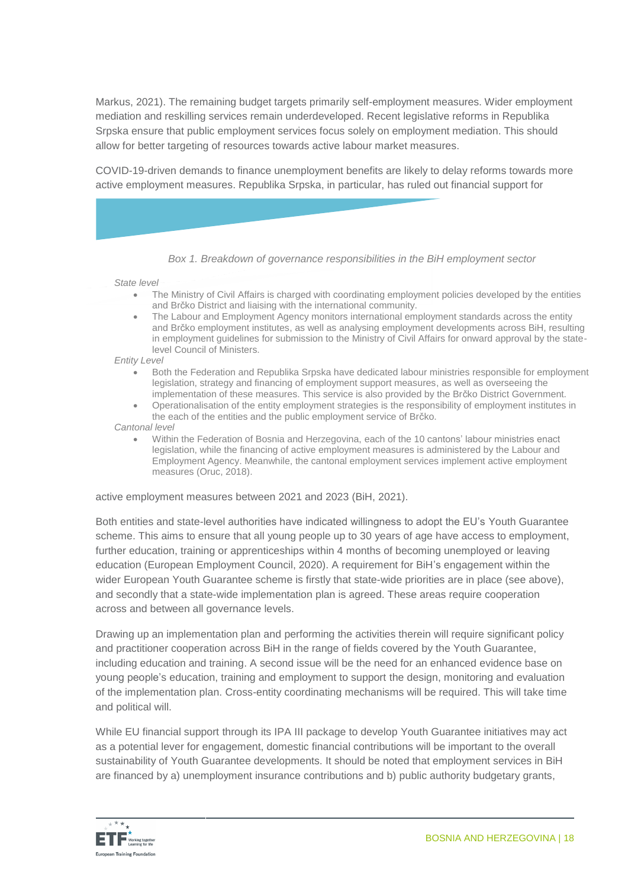Markus, 2021). The remaining budget targets primarily self-employment measures. Wider employment mediation and reskilling services remain underdeveloped. Recent legislative reforms in Republika Srpska ensure that public employment services focus solely on employment mediation. This should allow for better targeting of resources towards active labour market measures.

COVID-19-driven demands to finance unemployment benefits are likely to delay reforms towards more active employment measures. Republika Srpska, in particular, has ruled out financial support for

*Box 1. Breakdown of governance responsibilities in the BiH employment sector*

*State level*

- The Ministry of Civil Affairs is charged with coordinating employment policies developed by the entities and Brčko District and liaising with the international community.
- The Labour and Employment Agency monitors international employment standards across the entity and Brčko employment institutes, as well as analysing employment developments across BiH, resulting in employment guidelines for submission to the Ministry of Civil Affairs for onward approval by the statelevel Council of Ministers.

*Entity Level*

- Both the Federation and Republika Srpska have dedicated labour ministries responsible for employment legislation, strategy and financing of employment support measures, as well as overseeing the implementation of these measures. This service is also provided by the Brčko District Government.
- Operationalisation of the entity employment strategies is the responsibility of employment institutes in the each of the entities and the public employment service of Brčko.

*Cantonal level*

 Within the Federation of Bosnia and Herzegovina, each of the 10 cantons' labour ministries enact legislation, while the financing of active employment measures is administered by the Labour and Employment Agency. Meanwhile, the cantonal employment services implement active employment measures (Oruc, 2018).

active employment measures between 2021 and 2023 (BiH, 2021).

Both entities and state-level authorities have indicated willingness to adopt the EU's Youth Guarantee scheme. This aims to ensure that all young people up to 30 years of age have access to employment, further education, training or apprenticeships within 4 months of becoming unemployed or leaving education (European Employment Council, 2020). A requirement for BiH's engagement within the wider European Youth Guarantee scheme is firstly that state-wide priorities are in place (see above), and secondly that a state-wide implementation plan is agreed. These areas require cooperation across and between all governance levels.

Drawing up an implementation plan and performing the activities therein will require significant policy and practitioner cooperation across BiH in the range of fields covered by the Youth Guarantee, including education and training. A second issue will be the need for an enhanced evidence base on young people's education, training and employment to support the design, monitoring and evaluation of the implementation plan. Cross-entity coordinating mechanisms will be required. This will take time and political will.

While EU financial support through its IPA III package to develop Youth Guarantee initiatives may act as a potential lever for engagement, domestic financial contributions will be important to the overall sustainability of Youth Guarantee developments. It should be noted that employment services in BiH are financed by a) unemployment insurance contributions and b) public authority budgetary grants,

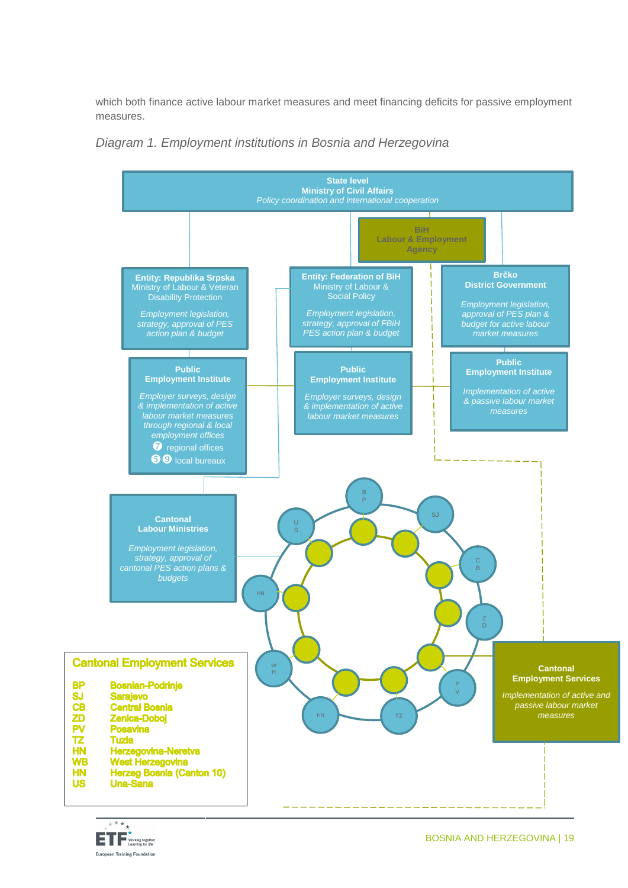which both finance active labour market measures and meet financing deficits for passive employment measures.





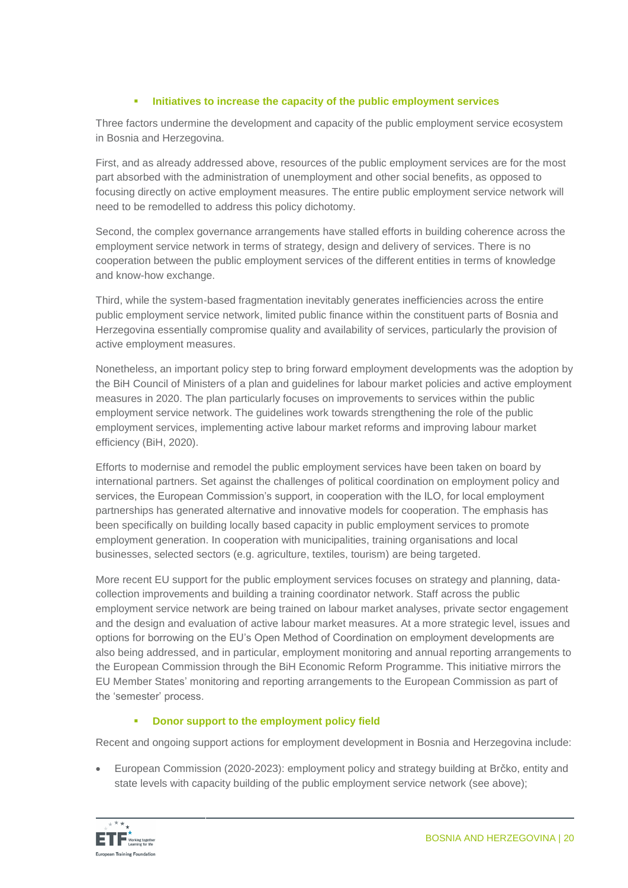#### **Initiatives to increase the capacity of the public employment services**

Three factors undermine the development and capacity of the public employment service ecosystem in Bosnia and Herzegovina.

First, and as already addressed above, resources of the public employment services are for the most part absorbed with the administration of unemployment and other social benefits, as opposed to focusing directly on active employment measures. The entire public employment service network will need to be remodelled to address this policy dichotomy.

Second, the complex governance arrangements have stalled efforts in building coherence across the employment service network in terms of strategy, design and delivery of services. There is no cooperation between the public employment services of the different entities in terms of knowledge and know-how exchange.

Third, while the system-based fragmentation inevitably generates inefficiencies across the entire public employment service network, limited public finance within the constituent parts of Bosnia and Herzegovina essentially compromise quality and availability of services, particularly the provision of active employment measures.

Nonetheless, an important policy step to bring forward employment developments was the adoption by the BiH Council of Ministers of a plan and guidelines for labour market policies and active employment measures in 2020. The plan particularly focuses on improvements to services within the public employment service network. The guidelines work towards strengthening the role of the public employment services, implementing active labour market reforms and improving labour market efficiency (BiH, 2020).

Efforts to modernise and remodel the public employment services have been taken on board by international partners. Set against the challenges of political coordination on employment policy and services, the European Commission's support, in cooperation with the ILO, for local employment partnerships has generated alternative and innovative models for cooperation. The emphasis has been specifically on building locally based capacity in public employment services to promote employment generation. In cooperation with municipalities, training organisations and local businesses, selected sectors (e.g. agriculture, textiles, tourism) are being targeted.

More recent EU support for the public employment services focuses on strategy and planning, datacollection improvements and building a training coordinator network. Staff across the public employment service network are being trained on labour market analyses, private sector engagement and the design and evaluation of active labour market measures. At a more strategic level, issues and options for borrowing on the EU's Open Method of Coordination on employment developments are also being addressed, and in particular, employment monitoring and annual reporting arrangements to the European Commission through the BiH Economic Reform Programme. This initiative mirrors the EU Member States' monitoring and reporting arrangements to the European Commission as part of the 'semester' process.

#### **Donor support to the employment policy field**

Recent and ongoing support actions for employment development in Bosnia and Herzegovina include:

 European Commission (2020-2023): employment policy and strategy building at Brčko, entity and state levels with capacity building of the public employment service network (see above);

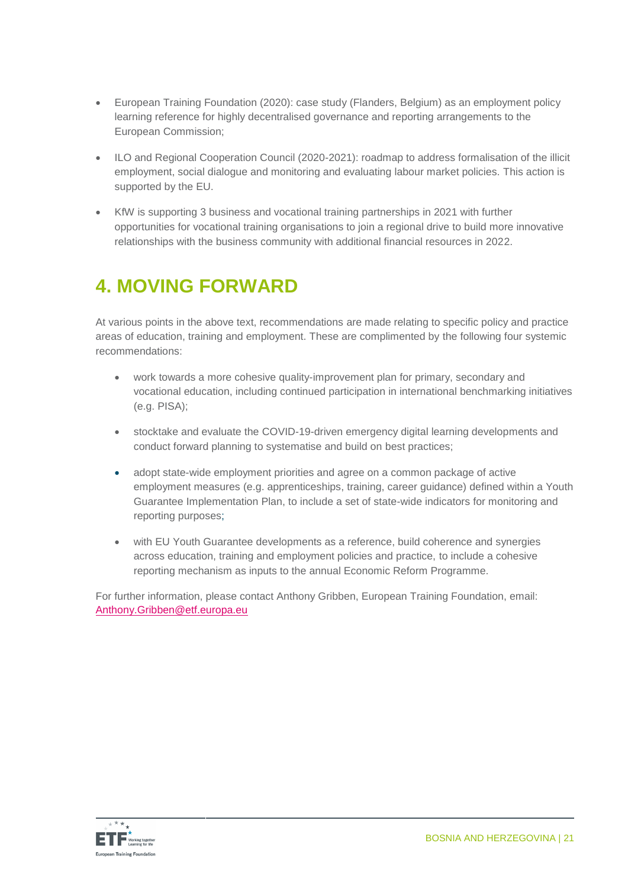- European Training Foundation (2020): case study (Flanders, Belgium) as an employment policy learning reference for highly decentralised governance and reporting arrangements to the European Commission;
- ILO and Regional Cooperation Council (2020-2021): roadmap to address formalisation of the illicit employment, social dialogue and monitoring and evaluating labour market policies. This action is supported by the EU.
- KfW is supporting 3 business and vocational training partnerships in 2021 with further opportunities for vocational training organisations to join a regional drive to build more innovative relationships with the business community with additional financial resources in 2022.

### **4. MOVING FORWARD**

At various points in the above text, recommendations are made relating to specific policy and practice areas of education, training and employment. These are complimented by the following four systemic recommendations:

- work towards a more cohesive quality-improvement plan for primary, secondary and vocational education, including continued participation in international benchmarking initiatives (e.g. PISA);
- stocktake and evaluate the COVID-19-driven emergency digital learning developments and conduct forward planning to systematise and build on best practices;
- adopt state-wide employment priorities and agree on a common package of active employment measures (e.g. apprenticeships, training, career guidance) defined within a Youth Guarantee Implementation Plan, to include a set of state-wide indicators for monitoring and reporting purposes;
- with EU Youth Guarantee developments as a reference, build coherence and synergies across education, training and employment policies and practice, to include a cohesive reporting mechanism as inputs to the annual Economic Reform Programme.

For further information, please contact Anthony Gribben, European Training Foundation, email: [Anthony.Gribben@etf.europa.eu](mailto:Anthony.Gribben@etf.europa.eu)

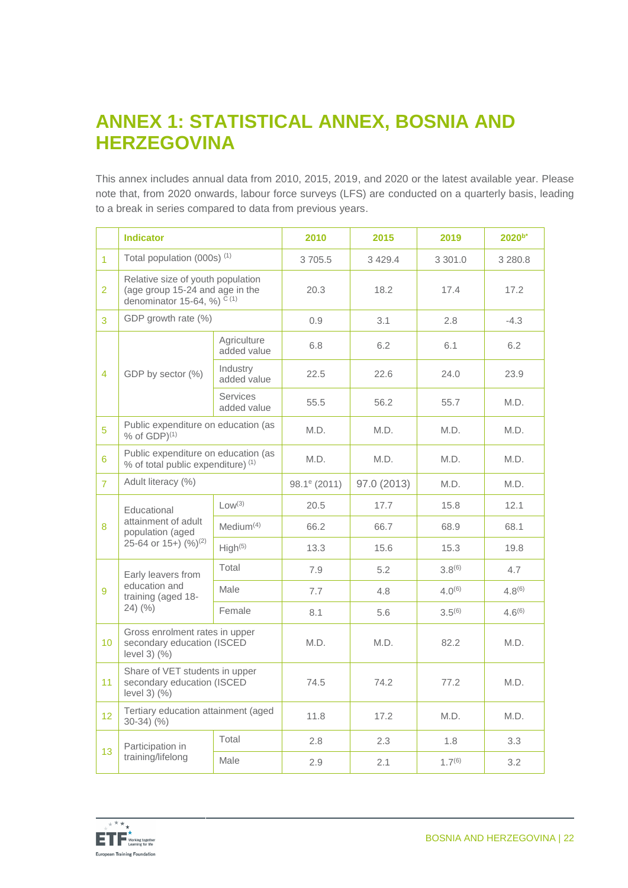### **ANNEX 1: STATISTICAL ANNEX, BOSNIA AND HERZEGOVINA**

This annex includes annual data from 2010, 2015, 2019, and 2020 or the latest available year. Please note that, from 2020 onwards, labour force surveys (LFS) are conducted on a quarterly basis, leading to a break in series compared to data from previous years.

|                 | <b>Indicator</b>                                                                                                         |                                | 2010                     | 2015        | 2019        | $2020^{b*}$ |
|-----------------|--------------------------------------------------------------------------------------------------------------------------|--------------------------------|--------------------------|-------------|-------------|-------------|
| $\overline{1}$  | Total population (000s) <sup>(1)</sup>                                                                                   |                                | 3705.5                   | 3429.4      | 3 301.0     | 3 280.8     |
| $\overline{2}$  | Relative size of youth population<br>(age group 15-24 and age in the<br>denominator 15-64, %) $\tilde{C}$ <sup>(1)</sup> |                                | 20.3                     | 18.2        | 17.4        | 17.2        |
| 3               | GDP growth rate (%)                                                                                                      |                                | 0.9                      | 3.1         | 2.8         | $-4.3$      |
|                 |                                                                                                                          | Agriculture<br>added value     | 6.8                      | 6.2         | 6.1         | 6.2         |
| 4               | GDP by sector (%)                                                                                                        | Industry<br>added value        | 22.5                     | 22.6        | 24.0        | 23.9        |
|                 |                                                                                                                          | <b>Services</b><br>added value | 55.5                     | 56.2        | 55.7        | M.D.        |
| 5               | Public expenditure on education (as<br>$%$ of GDP $)$ <sup>(1)</sup>                                                     |                                | M.D.                     | M.D.        | M.D.        | M.D.        |
| 6               | Public expenditure on education (as<br>% of total public expenditure) (1)                                                |                                | M.D.                     | M.D.        | M.D.        | M.D.        |
| $\overline{7}$  | Adult literacy (%)                                                                                                       |                                | 98.1 <sup>e</sup> (2011) | 97.0 (2013) | M.D.        | M.D.        |
|                 | Educational                                                                                                              | Low <sup>(3)</sup>             | 20.5                     | 17.7        | 15.8        | 12.1        |
| 8               | attainment of adult<br>population (aged<br>25-64 or $15+ (%)(2)$                                                         | Median <sup>(4)</sup>          | 66.2                     | 66.7        | 68.9        | 68.1        |
|                 |                                                                                                                          | High <sup>(5)</sup>            | 13.3                     | 15.6        | 15.3        | 19.8        |
|                 | Early leavers from                                                                                                       | Total                          | 7.9                      | 5.2         | $3.8^{(6)}$ | 4.7         |
| 9               | education and<br>training (aged 18-                                                                                      | Male                           | 7.7                      | 4.8         | $4.0^{(6)}$ | $4.8^{(6)}$ |
|                 | $24)$ (%)                                                                                                                | Female                         | 8.1                      | 5.6         | $3.5^{(6)}$ | $4.6^{(6)}$ |
| 10              | Gross enrolment rates in upper<br>secondary education (ISCED<br>level $3)$ $(%$                                          |                                | M.D.                     | M.D.        | 82.2        | M.D.        |
| 11              | Share of VET students in upper<br>secondary education (ISCED<br>level $3)$ $(%$                                          |                                | 74.5                     | 74.2        | 77.2        | M.D.        |
| 12 <sup>2</sup> | Tertiary education attainment (aged<br>$30-34)$ (%)                                                                      |                                | 11.8                     | 17.2        | M.D.        | M.D.        |
|                 | Participation in                                                                                                         | Total                          | 2.8                      | 2.3         | 1.8         | 3.3         |
|                 | 13<br>training/lifelong                                                                                                  | Male                           | 2.9                      | 2.1         | $1.7^{(6)}$ | 3.2         |

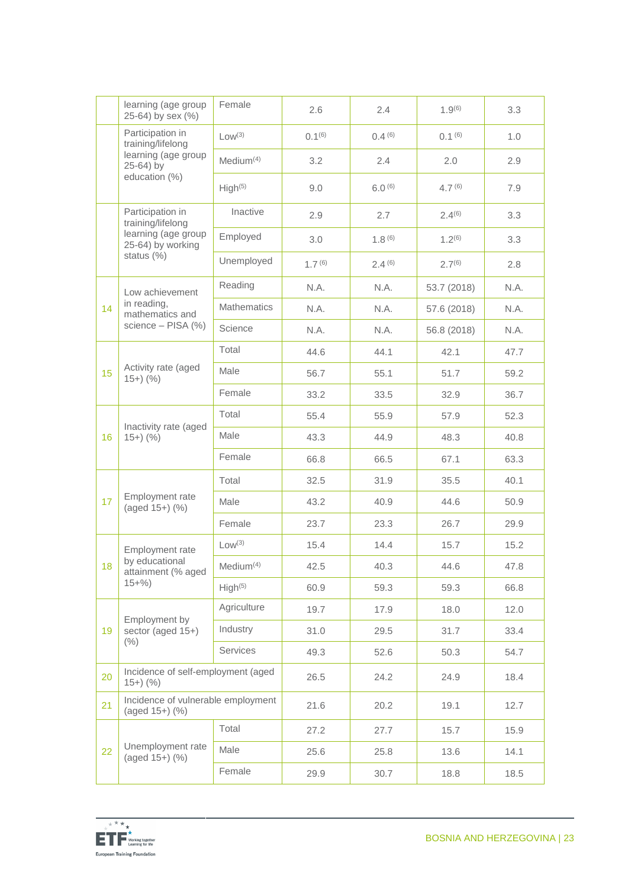|    | learning (age group<br>25-64) by sex (%)             | Female                | 2.6                | 2.4         | $1.9^{(6)}$   | 3.3  |
|----|------------------------------------------------------|-----------------------|--------------------|-------------|---------------|------|
|    | Participation in<br>training/lifelong                | $Low^{(3)}$           | $0.1^{(6)}$        | 0.4(6)      | $0.1^{(6)}$   | 1.0  |
|    | learning (age group<br>25-64) by                     | Medium $(4)$          | 3.2                | 2.4         | $2.0^{\circ}$ | 2.9  |
|    | education (%)                                        | High <sup>(5)</sup>   | 9.0                | $6.0^{(6)}$ | $4.7^{(6)}$   | 7.9  |
|    | Participation in<br>training/lifelong                | Inactive              | 2.9                | 2.7         | $2.4^{(6)}$   | 3.3  |
|    | learning (age group<br>25-64) by working             | Employed              | 3.0                | 1.8(6)      | $1.2^{(6)}$   | 3.3  |
|    | status (%)                                           | Unemployed            | 1.7 <sup>(6)</sup> | 2.4(6)      | $2.7^{(6)}$   | 2.8  |
|    | Low achievement                                      | Reading               | N.A.               | N.A.        | 53.7 (2018)   | N.A. |
| 14 | in reading,<br>mathematics and                       | <b>Mathematics</b>    | N.A.               | N.A.        | 57.6 (2018)   | N.A. |
|    | science - PISA (%)                                   | Science               | N.A.               | N.A.        | 56.8 (2018)   | N.A. |
|    |                                                      | Total                 | 44.6               | 44.1        | 42.1          | 47.7 |
| 15 | Activity rate (aged<br>$15+)$ (%)                    | Male                  | 56.7               | 55.1        | 51.7          | 59.2 |
|    |                                                      | Female                | 33.2               | 33.5        | 32.9          | 36.7 |
|    |                                                      | Total                 | 55.4               | 55.9        | 57.9          | 52.3 |
| 16 | Inactivity rate (aged<br>$15+)$ (%)                  | Male                  | 43.3               | 44.9        | 48.3          | 40.8 |
|    |                                                      | Female                | 66.8               | 66.5        | 67.1          | 63.3 |
|    |                                                      | Total                 | 32.5               | 31.9        | 35.5          | 40.1 |
| 17 | Employment rate<br>(aged 15+) (%)                    | Male                  | 43.2               | 40.9        | 44.6          | 50.9 |
|    |                                                      | Female                | 23.7               | 23.3        | 26.7          | 29.9 |
|    | Employment rate                                      | Low <sup>(3)</sup>    | 15.4               | 14.4        | 15.7          | 15.2 |
| 18 | by educational<br>attainment (% aged                 | Medium <sup>(4)</sup> | 42.5               | 40.3        | 44.6          | 47.8 |
|    | $15+%$                                               | High <sup>(5)</sup>   | 60.9               | 59.3        | 59.3          | 66.8 |
|    |                                                      | Agriculture           | 19.7               | 17.9        | 18.0          | 12.0 |
| 19 | Employment by<br>sector (aged 15+)                   | Industry              | 31.0               | 29.5        | 31.7          | 33.4 |
|    | (% )                                                 | Services              | 49.3               | 52.6        | 50.3          | 54.7 |
| 20 | Incidence of self-employment (aged<br>$15+)$ (%)     |                       | 26.5               | 24.2        | 24.9          | 18.4 |
| 21 | Incidence of vulnerable employment<br>(aged 15+) (%) |                       | 21.6               | 20.2        | 19.1          | 12.7 |
|    |                                                      | Total                 | 27.2               | 27.7        | 15.7          | 15.9 |
| 22 | Unemployment rate<br>(aged 15+) (%)                  | Male                  | 25.6               | 25.8        | 13.6          | 14.1 |
|    |                                                      | Female                | 29.9               | 30.7        | 18.8          | 18.5 |

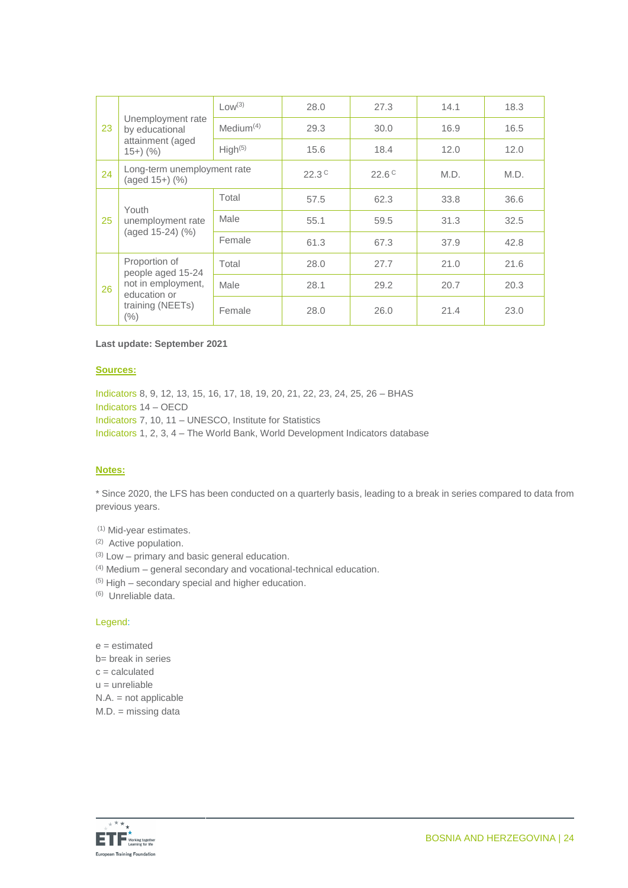|    |                                                                                                               | Low <sup>(3)</sup>    | 28.0           | 27.3           | 14.1 | 18.3 |
|----|---------------------------------------------------------------------------------------------------------------|-----------------------|----------------|----------------|------|------|
| 23 | Unemployment rate<br>by educational                                                                           | Median <sup>(4)</sup> | 29.3           | 30.0           | 16.9 | 16.5 |
|    | attainment (aged<br>$(15+)$ (%)                                                                               | High <sup>(5)</sup>   | 15.6           | 18.4           | 12.0 | 12.0 |
| 24 | Long-term unemployment rate<br>(aged 15+) (%)                                                                 |                       | $22.3^{\circ}$ | $22.6^{\circ}$ | M.D. | M.D. |
|    | Youth                                                                                                         | Total                 | 57.5           | 62.3           | 33.8 | 36.6 |
| 25 | unemployment rate<br>(aged 15-24) (%)                                                                         | Male                  | 55.1           | 59.5           | 31.3 | 32.5 |
|    |                                                                                                               | Female                | 61.3           | 67.3           | 37.9 | 42.8 |
|    | Proportion of<br>people aged 15-24<br>not in employment,<br>26<br>education or<br>training (NEETs)<br>$(\% )$ | Total                 | 28.0           | 27.7           | 21.0 | 21.6 |
|    |                                                                                                               | Male                  | 28.1           | 29.2           | 20.7 | 20.3 |
|    |                                                                                                               | Female                | 28.0           | 26.0           | 21.4 | 23.0 |

#### **Last update: September 2021**

#### **Sources:**

Indicators 8, 9, 12, 13, 15, 16, 17, 18, 19, 20, 21, 22, 23, 24, 25, 26 – BHAS Indicators 14 – OECD Indicators 7, 10, 11 – UNESCO, Institute for Statistics Indicators 1, 2, 3, 4 – The World Bank, World Development Indicators database

#### **Notes:**

\* Since 2020, the LFS has been conducted on a quarterly basis, leading to a break in series compared to data from previous years.

(1) Mid-year estimates.

(2) Active population.

 $(3)$  Low – primary and basic general education.

(4) Medium – general secondary and vocational-technical education.

 $(5)$  High – secondary special and higher education.

(6) Unreliable data.

#### Legend:

e = estimated b= break in series  $c =$  calculated  $u =$  unreliable N.A. = not applicable M.D. = missing data

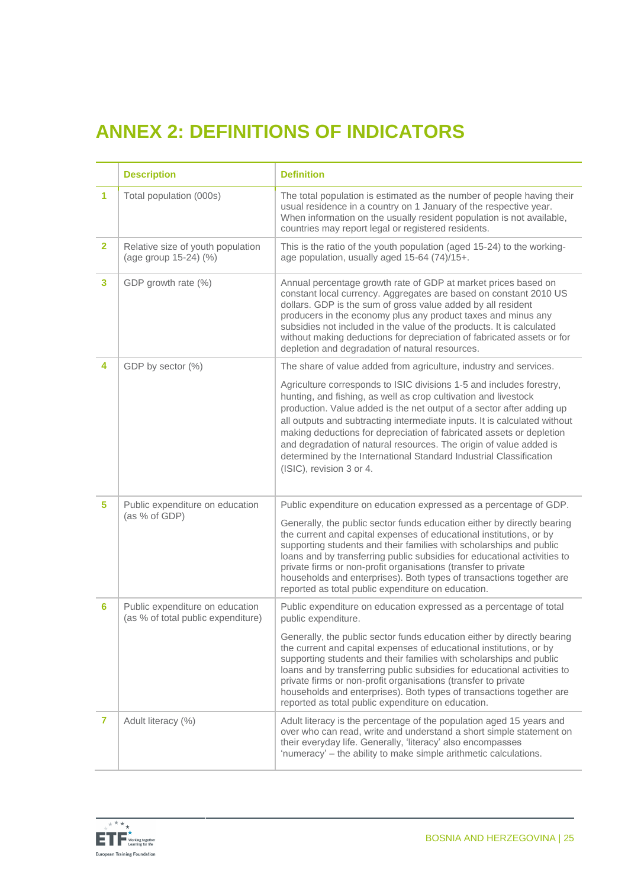## **ANNEX 2: DEFINITIONS OF INDICATORS**

|                | <b>Description</b>                                                    | <b>Definition</b>                                                                                                                                                                                                                                                                                                                                                                                                                                                                                                                             |
|----------------|-----------------------------------------------------------------------|-----------------------------------------------------------------------------------------------------------------------------------------------------------------------------------------------------------------------------------------------------------------------------------------------------------------------------------------------------------------------------------------------------------------------------------------------------------------------------------------------------------------------------------------------|
| 1.             | Total population (000s)                                               | The total population is estimated as the number of people having their<br>usual residence in a country on 1 January of the respective year.<br>When information on the usually resident population is not available,<br>countries may report legal or registered residents.                                                                                                                                                                                                                                                                   |
| $\overline{2}$ | Relative size of youth population<br>(age group 15-24) (%)            | This is the ratio of the youth population (aged 15-24) to the working-<br>age population, usually aged 15-64 (74)/15+.                                                                                                                                                                                                                                                                                                                                                                                                                        |
| 3              | GDP growth rate (%)                                                   | Annual percentage growth rate of GDP at market prices based on<br>constant local currency. Aggregates are based on constant 2010 US<br>dollars. GDP is the sum of gross value added by all resident<br>producers in the economy plus any product taxes and minus any<br>subsidies not included in the value of the products. It is calculated<br>without making deductions for depreciation of fabricated assets or for<br>depletion and degradation of natural resources.                                                                    |
| 4              | GDP by sector (%)                                                     | The share of value added from agriculture, industry and services.                                                                                                                                                                                                                                                                                                                                                                                                                                                                             |
|                |                                                                       | Agriculture corresponds to ISIC divisions 1-5 and includes forestry,<br>hunting, and fishing, as well as crop cultivation and livestock<br>production. Value added is the net output of a sector after adding up<br>all outputs and subtracting intermediate inputs. It is calculated without<br>making deductions for depreciation of fabricated assets or depletion<br>and degradation of natural resources. The origin of value added is<br>determined by the International Standard Industrial Classification<br>(ISIC), revision 3 or 4. |
| 5.             | Public expenditure on education<br>(as % of GDP)                      | Public expenditure on education expressed as a percentage of GDP.                                                                                                                                                                                                                                                                                                                                                                                                                                                                             |
|                |                                                                       | Generally, the public sector funds education either by directly bearing<br>the current and capital expenses of educational institutions, or by<br>supporting students and their families with scholarships and public<br>loans and by transferring public subsidies for educational activities to<br>private firms or non-profit organisations (transfer to private<br>households and enterprises). Both types of transactions together are<br>reported as total public expenditure on education.                                             |
| 6              | Public expenditure on education<br>(as % of total public expenditure) | Public expenditure on education expressed as a percentage of total<br>public expenditure.                                                                                                                                                                                                                                                                                                                                                                                                                                                     |
|                |                                                                       | Generally, the public sector funds education either by directly bearing<br>the current and capital expenses of educational institutions, or by<br>supporting students and their families with scholarships and public<br>loans and by transferring public subsidies for educational activities to<br>private firms or non-profit organisations (transfer to private<br>households and enterprises). Both types of transactions together are<br>reported as total public expenditure on education.                                             |
| 7              | Adult literacy (%)                                                    | Adult literacy is the percentage of the population aged 15 years and<br>over who can read, write and understand a short simple statement on<br>their everyday life. Generally, 'literacy' also encompasses<br>'numeracy' - the ability to make simple arithmetic calculations.                                                                                                                                                                                                                                                                |

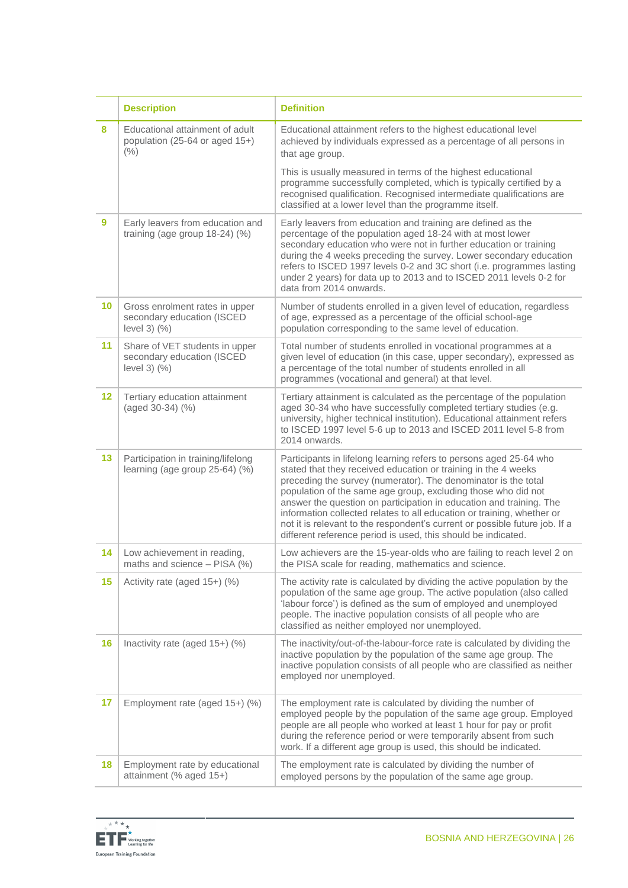|         | <b>Description</b>                                                                 | <b>Definition</b>                                                                                                                                                                                                                                                                                                                                                                                                                                                                                                                                                        |
|---------|------------------------------------------------------------------------------------|--------------------------------------------------------------------------------------------------------------------------------------------------------------------------------------------------------------------------------------------------------------------------------------------------------------------------------------------------------------------------------------------------------------------------------------------------------------------------------------------------------------------------------------------------------------------------|
| 8       | Educational attainment of adult<br>population (25-64 or aged 15+)<br>(% )          | Educational attainment refers to the highest educational level<br>achieved by individuals expressed as a percentage of all persons in<br>that age group.                                                                                                                                                                                                                                                                                                                                                                                                                 |
|         |                                                                                    | This is usually measured in terms of the highest educational<br>programme successfully completed, which is typically certified by a<br>recognised qualification. Recognised intermediate qualifications are<br>classified at a lower level than the programme itself.                                                                                                                                                                                                                                                                                                    |
| 9       | Early leavers from education and<br>training (age group 18-24) (%)                 | Early leavers from education and training are defined as the<br>percentage of the population aged 18-24 with at most lower<br>secondary education who were not in further education or training<br>during the 4 weeks preceding the survey. Lower secondary education<br>refers to ISCED 1997 levels 0-2 and 3C short (i.e. programmes lasting<br>under 2 years) for data up to 2013 and to ISCED 2011 levels 0-2 for<br>data from 2014 onwards.                                                                                                                         |
| 10      | Gross enrolment rates in upper<br>secondary education (ISCED<br>level $3)$ $(\% )$ | Number of students enrolled in a given level of education, regardless<br>of age, expressed as a percentage of the official school-age<br>population corresponding to the same level of education.                                                                                                                                                                                                                                                                                                                                                                        |
| 11      | Share of VET students in upper<br>secondary education (ISCED<br>level $3)$ $(%$    | Total number of students enrolled in vocational programmes at a<br>given level of education (in this case, upper secondary), expressed as<br>a percentage of the total number of students enrolled in all<br>programmes (vocational and general) at that level.                                                                                                                                                                                                                                                                                                          |
| $12 \,$ | Tertiary education attainment<br>(aged 30-34) (%)                                  | Tertiary attainment is calculated as the percentage of the population<br>aged 30-34 who have successfully completed tertiary studies (e.g.<br>university, higher technical institution). Educational attainment refers<br>to ISCED 1997 level 5-6 up to 2013 and ISCED 2011 level 5-8 from<br>2014 onwards.                                                                                                                                                                                                                                                              |
| 13      | Participation in training/lifelong<br>learning (age group 25-64) (%)               | Participants in lifelong learning refers to persons aged 25-64 who<br>stated that they received education or training in the 4 weeks<br>preceding the survey (numerator). The denominator is the total<br>population of the same age group, excluding those who did not<br>answer the question on participation in education and training. The<br>information collected relates to all education or training, whether or<br>not it is relevant to the respondent's current or possible future job. If a<br>different reference period is used, this should be indicated. |
| 14      | Low achievement in reading,<br>maths and science - PISA (%)                        | Low achievers are the 15-year-olds who are failing to reach level 2 on<br>the PISA scale for reading, mathematics and science.                                                                                                                                                                                                                                                                                                                                                                                                                                           |
| 15      | Activity rate (aged 15+) (%)                                                       | The activity rate is calculated by dividing the active population by the<br>population of the same age group. The active population (also called<br>'labour force') is defined as the sum of employed and unemployed<br>people. The inactive population consists of all people who are<br>classified as neither employed nor unemployed.                                                                                                                                                                                                                                 |
| 16      | Inactivity rate (aged 15+) (%)                                                     | The inactivity/out-of-the-labour-force rate is calculated by dividing the<br>inactive population by the population of the same age group. The<br>inactive population consists of all people who are classified as neither<br>employed nor unemployed.                                                                                                                                                                                                                                                                                                                    |
| 17      | Employment rate (aged 15+) (%)                                                     | The employment rate is calculated by dividing the number of<br>employed people by the population of the same age group. Employed<br>people are all people who worked at least 1 hour for pay or profit<br>during the reference period or were temporarily absent from such<br>work. If a different age group is used, this should be indicated.                                                                                                                                                                                                                          |
| 18      | Employment rate by educational<br>attainment (% aged 15+)                          | The employment rate is calculated by dividing the number of<br>employed persons by the population of the same age group.                                                                                                                                                                                                                                                                                                                                                                                                                                                 |

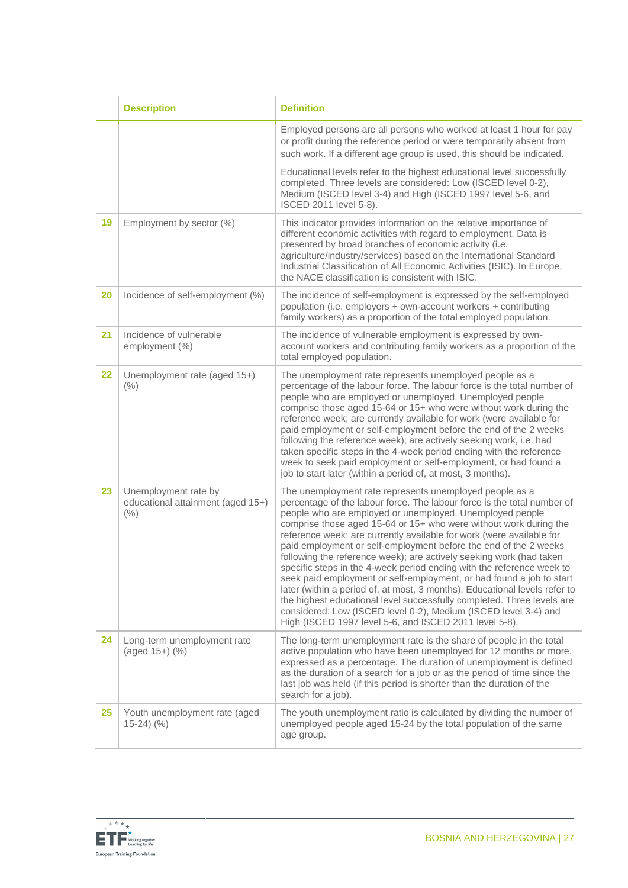|    | <b>Description</b>                                                   | <b>Definition</b>                                                                                                                                                                                                                                                                                                                                                                                                                                                                                                                                                                                                                                                                                                                                                                                                                                                                                                            |
|----|----------------------------------------------------------------------|------------------------------------------------------------------------------------------------------------------------------------------------------------------------------------------------------------------------------------------------------------------------------------------------------------------------------------------------------------------------------------------------------------------------------------------------------------------------------------------------------------------------------------------------------------------------------------------------------------------------------------------------------------------------------------------------------------------------------------------------------------------------------------------------------------------------------------------------------------------------------------------------------------------------------|
|    |                                                                      | Employed persons are all persons who worked at least 1 hour for pay<br>or profit during the reference period or were temporarily absent from<br>such work. If a different age group is used, this should be indicated.                                                                                                                                                                                                                                                                                                                                                                                                                                                                                                                                                                                                                                                                                                       |
|    |                                                                      | Educational levels refer to the highest educational level successfully<br>completed. Three levels are considered: Low (ISCED level 0-2),<br>Medium (ISCED level 3-4) and High (ISCED 1997 level 5-6, and<br>ISCED 2011 level 5-8).                                                                                                                                                                                                                                                                                                                                                                                                                                                                                                                                                                                                                                                                                           |
| 19 | Employment by sector (%)                                             | This indicator provides information on the relative importance of<br>different economic activities with regard to employment. Data is<br>presented by broad branches of economic activity (i.e.<br>agriculture/industry/services) based on the International Standard<br>Industrial Classification of All Economic Activities (ISIC). In Europe,<br>the NACE classification is consistent with ISIC.                                                                                                                                                                                                                                                                                                                                                                                                                                                                                                                         |
| 20 | Incidence of self-employment (%)                                     | The incidence of self-employment is expressed by the self-employed<br>population (i.e. employers + own-account workers + contributing<br>family workers) as a proportion of the total employed population.                                                                                                                                                                                                                                                                                                                                                                                                                                                                                                                                                                                                                                                                                                                   |
| 21 | Incidence of vulnerable<br>employment (%)                            | The incidence of vulnerable employment is expressed by own-<br>account workers and contributing family workers as a proportion of the<br>total employed population.                                                                                                                                                                                                                                                                                                                                                                                                                                                                                                                                                                                                                                                                                                                                                          |
| 22 | Unemployment rate (aged 15+)<br>(%)                                  | The unemployment rate represents unemployed people as a<br>percentage of the labour force. The labour force is the total number of<br>people who are employed or unemployed. Unemployed people<br>comprise those aged 15-64 or 15+ who were without work during the<br>reference week; are currently available for work (were available for<br>paid employment or self-employment before the end of the 2 weeks<br>following the reference week); are actively seeking work, i.e. had<br>taken specific steps in the 4-week period ending with the reference<br>week to seek paid employment or self-employment, or had found a<br>job to start later (within a period of, at most, 3 months).                                                                                                                                                                                                                               |
| 23 | Unemployment rate by<br>educational attainment (aged 15+)<br>$(\% )$ | The unemployment rate represents unemployed people as a<br>percentage of the labour force. The labour force is the total number of<br>people who are employed or unemployed. Unemployed people<br>comprise those aged 15-64 or 15+ who were without work during the<br>reference week; are currently available for work (were available for<br>paid employment or self-employment before the end of the 2 weeks<br>following the reference week); are actively seeking work (had taken<br>specific steps in the 4-week period ending with the reference week to<br>seek paid employment or self-employment, or had found a job to start<br>later (within a period of, at most, 3 months). Educational levels refer to<br>the highest educational level successfully completed. Three levels are<br>considered: Low (ISCED level 0-2), Medium (ISCED level 3-4) and<br>High (ISCED 1997 level 5-6, and ISCED 2011 level 5-8). |
| 24 | Long-term unemployment rate<br>$(aged 15+)$ $(\%)$                   | The long-term unemployment rate is the share of people in the total<br>active population who have been unemployed for 12 months or more,<br>expressed as a percentage. The duration of unemployment is defined<br>as the duration of a search for a job or as the period of time since the<br>last job was held (if this period is shorter than the duration of the<br>search for a job).                                                                                                                                                                                                                                                                                                                                                                                                                                                                                                                                    |
| 25 | Youth unemployment rate (aged<br>$15-24)$ (%)                        | The youth unemployment ratio is calculated by dividing the number of<br>unemployed people aged 15-24 by the total population of the same<br>age group.                                                                                                                                                                                                                                                                                                                                                                                                                                                                                                                                                                                                                                                                                                                                                                       |

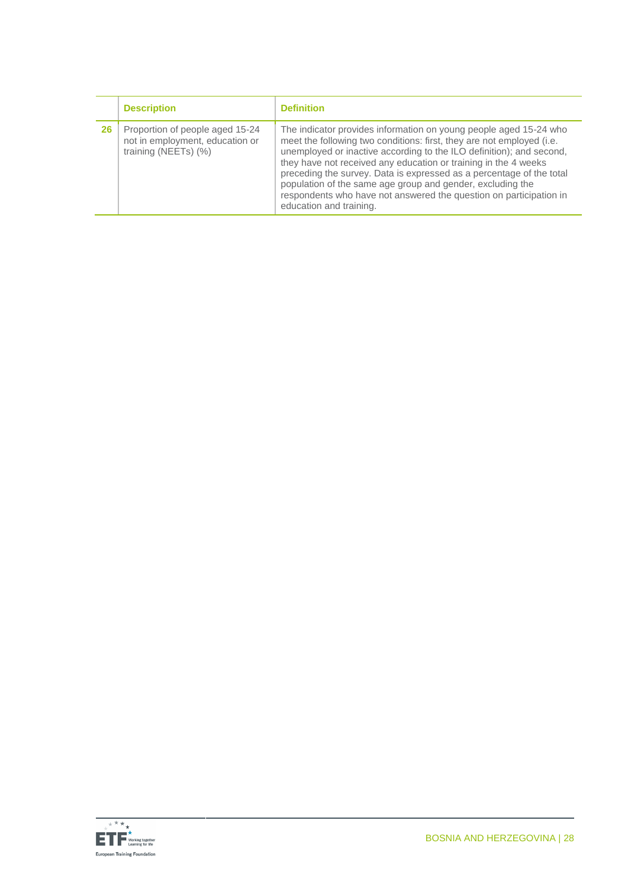|    | <b>Description</b>                                                                         | <b>Definition</b>                                                                                                                                                                                                                                                                                                                                                                                                                                                                                                            |
|----|--------------------------------------------------------------------------------------------|------------------------------------------------------------------------------------------------------------------------------------------------------------------------------------------------------------------------------------------------------------------------------------------------------------------------------------------------------------------------------------------------------------------------------------------------------------------------------------------------------------------------------|
| 26 | Proportion of people aged 15-24<br>not in employment, education or<br>training (NEETs) (%) | The indicator provides information on young people aged 15-24 who<br>meet the following two conditions: first, they are not employed (i.e.<br>unemployed or inactive according to the ILO definition); and second,<br>they have not received any education or training in the 4 weeks<br>preceding the survey. Data is expressed as a percentage of the total<br>population of the same age group and gender, excluding the<br>respondents who have not answered the question on participation in<br>education and training. |

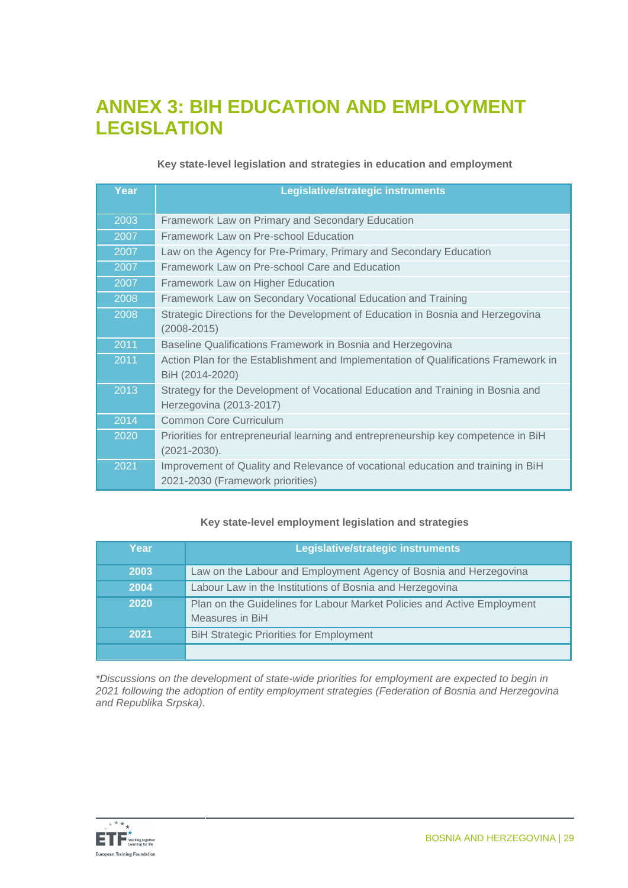### **ANNEX 3: BIH EDUCATION AND EMPLOYMENT LEGISLATION**

#### **Key state-level legislation and strategies in education and employment**

| Year | Legislative/strategic instruments                                                                                    |
|------|----------------------------------------------------------------------------------------------------------------------|
| 2003 | Framework Law on Primary and Secondary Education                                                                     |
| 2007 | Framework Law on Pre-school Education                                                                                |
| 2007 | Law on the Agency for Pre-Primary, Primary and Secondary Education                                                   |
| 2007 | Framework Law on Pre-school Care and Education                                                                       |
| 2007 | Framework Law on Higher Education                                                                                    |
| 2008 | Framework Law on Secondary Vocational Education and Training                                                         |
| 2008 | Strategic Directions for the Development of Education in Bosnia and Herzegovina<br>$(2008 - 2015)$                   |
| 2011 | Baseline Qualifications Framework in Bosnia and Herzegovina                                                          |
| 2011 | Action Plan for the Establishment and Implementation of Qualifications Framework in<br>BiH (2014-2020)               |
| 2013 | Strategy for the Development of Vocational Education and Training in Bosnia and<br>Herzegovina (2013-2017)           |
| 2014 | <b>Common Core Curriculum</b>                                                                                        |
| 2020 | Priorities for entrepreneurial learning and entrepreneurship key competence in BiH<br>$(2021 - 2030)$ .              |
| 2021 | Improvement of Quality and Relevance of vocational education and training in BiH<br>2021-2030 (Framework priorities) |

#### **Key state-level employment legislation and strategies**

| Year | Legislative/strategic instruments                                       |
|------|-------------------------------------------------------------------------|
| 2003 | Law on the Labour and Employment Agency of Bosnia and Herzegovina       |
| 2004 | Labour Law in the Institutions of Bosnia and Herzegovina                |
| 2020 | Plan on the Guidelines for Labour Market Policies and Active Employment |
|      | Measures in BiH                                                         |
| 2021 | <b>BiH Strategic Priorities for Employment</b>                          |
|      |                                                                         |

*\*Discussions on the development of state-wide priorities for employment are expected to begin in 2021 following the adoption of entity employment strategies (Federation of Bosnia and Herzegovina and Republika Srpska).*

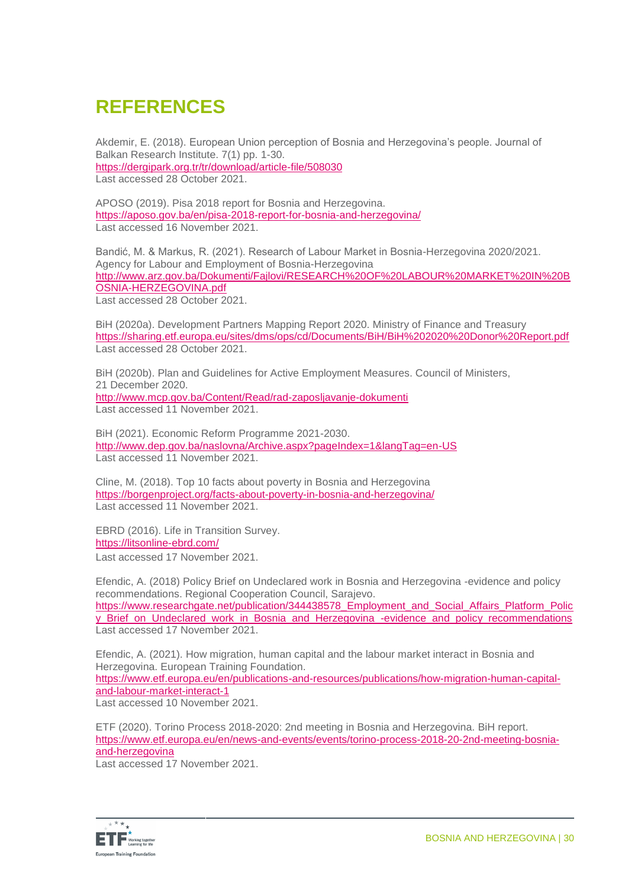### **REFERENCES**

Akdemir, E. (2018). European Union perception of Bosnia and Herzegovina's people. Journal of Balkan Research Institute. 7(1) pp. 1-30. <https://dergipark.org.tr/tr/download/article-file/508030> Last accessed 28 October 2021.

APOSO (2019). Pisa 2018 report for Bosnia and Herzegovina. <https://aposo.gov.ba/en/pisa-2018-report-for-bosnia-and-herzegovina/> Last accessed 16 November 2021.

Bandić, M. & Markus, R. (2021). Research of Labour Market in Bosnia-Herzegovina 2020/2021. Agency for Labour and Employment of Bosnia-Herzegovina [http://www.arz.gov.ba/Dokumenti/Fajlovi/RESEARCH%20OF%20LABOUR%20MARKET%20IN%20B](http://www.arz.gov.ba/Dokumenti/Fajlovi/RESEARCH%20OF%20LABOUR%20MARKET%20IN%20BOSNIA-HERZEGOVINA.pdf) [OSNIA-HERZEGOVINA.pdf](http://www.arz.gov.ba/Dokumenti/Fajlovi/RESEARCH%20OF%20LABOUR%20MARKET%20IN%20BOSNIA-HERZEGOVINA.pdf) Last accessed 28 October 2021.

BiH (2020a). Development Partners Mapping Report 2020. Ministry of Finance and Treasury <https://sharing.etf.europa.eu/sites/dms/ops/cd/Documents/BiH/BiH%202020%20Donor%20Report.pdf> Last accessed 28 October 2021.

BiH (2020b). Plan and Guidelines for Active Employment Measures. Council of Ministers, 21 December 2020. <http://www.mcp.gov.ba/Content/Read/rad-zaposljavanje-dokumenti> Last accessed 11 November 2021.

BiH (2021). Economic Reform Programme 2021-2030. <http://www.dep.gov.ba/naslovna/Archive.aspx?pageIndex=1&langTag=en-US> Last accessed 11 November 2021.

Cline, M. (2018). Top 10 facts about poverty in Bosnia and Herzegovina <https://borgenproject.org/facts-about-poverty-in-bosnia-and-herzegovina/> Last accessed 11 November 2021.

EBRD (2016). Life in Transition Survey. <https://litsonline-ebrd.com/>

Last accessed 17 November 2021.

Efendic, A. (2018) Policy Brief on Undeclared work in Bosnia and Herzegovina -evidence and policy recommendations. Regional Cooperation Council, Sarajevo. https://www.researchgate.net/publication/344438578 Employment and Social Affairs Platform Polic y\_Brief\_on\_Undeclared\_work\_in\_Bosnia\_and\_Herzegovina\_-evidence\_and\_policy\_recommendations Last accessed 17 November 2021.

Efendic, A. (2021). How migration, human capital and the labour market interact in Bosnia and Herzegovina. European Training Foundation. [https://www.etf.europa.eu/en/publications-and-resources/publications/how-migration-human-capital-](https://www.etf.europa.eu/en/publications-and-resources/publications/how-migration-human-capital-and-labour-market-interact-1)

[and-labour-market-interact-1](https://www.etf.europa.eu/en/publications-and-resources/publications/how-migration-human-capital-and-labour-market-interact-1)

Last accessed 10 November 2021.

ETF (2020). Torino Process 2018-2020: 2nd meeting in Bosnia and Herzegovina. BiH report. [https://www.etf.europa.eu/en/news-and-events/events/torino-process-2018-20-2nd-meeting-bosnia](https://www.etf.europa.eu/en/news-and-events/events/torino-process-2018-20-2nd-meeting-bosnia-and-herzegovina)[and-herzegovina](https://www.etf.europa.eu/en/news-and-events/events/torino-process-2018-20-2nd-meeting-bosnia-and-herzegovina)

Last accessed 17 November 2021.

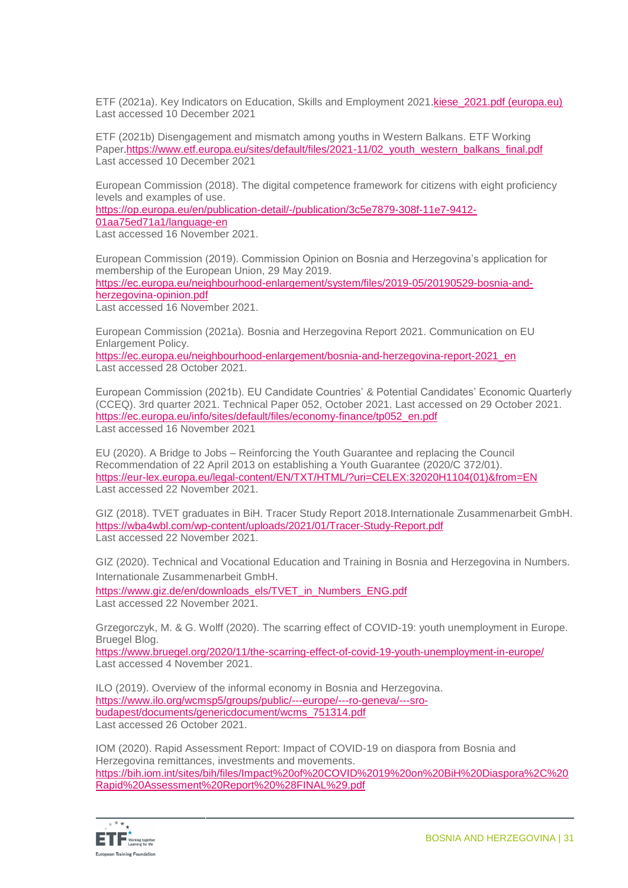ETF (2021a). Key Indicators on Education, Skills and Employment 2021.[kiese\\_2021.pdf \(europa.eu\)](https://www.etf.europa.eu/sites/default/files/2021-11/kiese_2021.pdf) Last accessed 10 December 2021

ETF (2021b) Disengagement and mismatch among youths in Western Balkans. ETF Working Paper.[https://www.etf.europa.eu/sites/default/files/2021-11/02\\_youth\\_western\\_balkans\\_final.pdf](https://www.etf.europa.eu/sites/default/files/2021-11/02_youth_western_balkans_final.pdf) Last accessed 10 December 2021

European Commission (2018). The digital competence framework for citizens with eight proficiency levels and examples of use.

https://op.europa.eu/en/publication-detail/-/publication/3c5e7879-308f-11e7-9412- 01aa75ed71a1/language-en

Last accessed 16 November 2021.

European Commission (2019). Commission Opinion on Bosnia and Herzegovina's application for membership of the European Union, 29 May 2019. [https://ec.europa.eu/neighbourhood-enlargement/system/files/2019-05/20190529-bosnia-and](https://ec.europa.eu/neighbourhood-enlargement/system/files/2019-05/20190529-bosnia-and-herzegovina-opinion.pdf)[herzegovina-opinion.pdf](https://ec.europa.eu/neighbourhood-enlargement/system/files/2019-05/20190529-bosnia-and-herzegovina-opinion.pdf) Last accessed 16 November 2021.

European Commission (2021a). Bosnia and Herzegovina Report 2021. Communication on EU Enlargement Policy.

[https://ec.europa.eu/neighbourhood-enlargement/bosnia-and-herzegovina-report-2021\\_en](https://ec.europa.eu/neighbourhood-enlargement/bosnia-and-herzegovina-report-2021_en) Last accessed 28 October 2021.

European Commission (2021b). EU Candidate Countries' & Potential Candidates' Economic Quarterly (CCEQ). 3rd quarter 2021. Technical Paper 052, October 2021. Last accessed on 29 October 2021. https://ec.europa.eu/info/sites/default/files/economy-finance/tp052\_en.pdf Last accessed 16 November 2021

EU (2020). A Bridge to Jobs – Reinforcing the Youth Guarantee and replacing the Council Recommendation of 22 April 2013 on establishing a Youth Guarantee (2020/C 372/01). [https://eur-lex.europa.eu/legal-content/EN/TXT/HTML/?uri=CELEX:32020H1104\(01\)&from=EN](https://eur-lex.europa.eu/legal-content/EN/TXT/HTML/?uri=CELEX:32020H1104(01)&from=EN) Last accessed 22 November 2021.

GIZ (2018). TVET graduates in BiH. Tracer Study Report 2018.Internationale Zusammenarbeit GmbH. [https://wba4wbl.com/wp-content/uploads/2021/01/Tracer-Study-Report.pdf](https://eur01.safelinks.protection.outlook.com/?url=https%3A%2F%2Fwba4wbl.com%2Fwp-content%2Fuploads%2F2021%2F01%2FTracer-Study-Report.pdf&data=04%7C01%7Cisabel.rapp%40giz.de%7C2bec572712bf40b0783a08d9ab878305%7C5bbab28cdef3460488225e707da8dba8%7C0%7C0%7C637729420773994527%7CUnknown%7CTWFpbGZsb3d8eyJWIjoiMC4wLjAwMDAiLCJQIjoiV2luMzIiLCJBTiI6Ik1haWwiLCJXVCI6Mn0%3D%7C3000&sdata=7jeORcJ%2Fh0S934byPjZPrNepHWQLRjfipDd13QAqAJU%3D&reserved=0) Last accessed 22 November 2021.

GIZ (2020). Technical and Vocational Education and Training in Bosnia and Herzegovina in Numbers. Internationale Zusammenarbeit GmbH.

[https://www.giz.de/en/downloads\\_els/TVET\\_in\\_Numbers\\_ENG.pdf](https://www.giz.de/en/downloads_els/TVET_in_Numbers_ENG.pdf) Last accessed 22 November 2021.

Grzegorczyk, M. & G. Wolff (2020). The scarring effect of COVID-19: youth unemployment in Europe. Bruegel Blog.

<https://www.bruegel.org/2020/11/the-scarring-effect-of-covid-19-youth-unemployment-in-europe/> Last accessed 4 November 2021.

ILO (2019). Overview of the informal economy in Bosnia and Herzegovina. [https://www.ilo.org/wcmsp5/groups/public/---europe/---ro-geneva/---sro](https://www.ilo.org/wcmsp5/groups/public/---europe/---ro-geneva/---sro-budapest/documents/genericdocument/wcms_751314.pdf)[budapest/documents/genericdocument/wcms\\_751314.pdf](https://www.ilo.org/wcmsp5/groups/public/---europe/---ro-geneva/---sro-budapest/documents/genericdocument/wcms_751314.pdf) Last accessed 26 October 2021.

IOM (2020). Rapid Assessment Report: Impact of COVID-19 on diaspora from Bosnia and Herzegovina remittances, investments and movements. [https://bih.iom.int/sites/bih/files/Impact%20of%20COVID%2019%20on%20BiH%20Diaspora%2C%20](https://bih.iom.int/sites/bih/files/Impact%20of%20COVID%2019%20on%20BiH%20Diaspora%2C%20Rapid%20Assessment%20Report%20%28FINAL%29.pdf) [Rapid%20Assessment%20Report%20%28FINAL%29.pdf](https://bih.iom.int/sites/bih/files/Impact%20of%20COVID%2019%20on%20BiH%20Diaspora%2C%20Rapid%20Assessment%20Report%20%28FINAL%29.pdf)

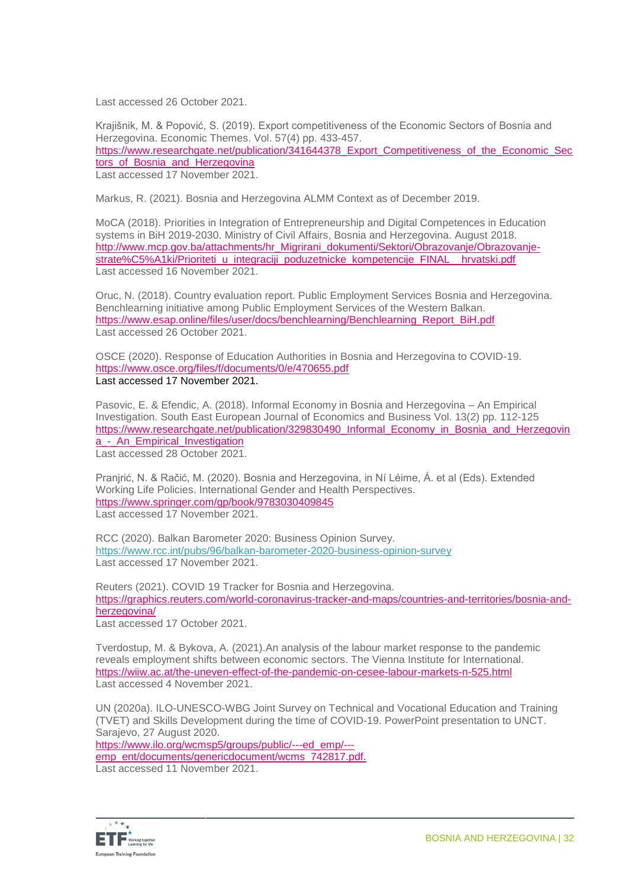Last accessed 26 October 2021.

Krajišnik, M. & Popović, S. (2019). Export competitiveness of the Economic Sectors of Bosnia and Herzegovina. Economic Themes. Vol. 57(4) pp. 433-457. [https://www.researchgate.net/publication/341644378\\_Export\\_Competitiveness\\_of\\_the\\_Economic\\_Sec](https://www.researchgate.net/publication/341644378_Export_Competitiveness_of_the_Economic_Sectors_of_Bosnia_and_Herzegovina) tors of Bosnia and Herzegovina Last accessed 17 November 2021.

Markus, R. (2021). Bosnia and Herzegovina ALMM Context as of December 2019.

MoCA (2018). Priorities in Integration of Entrepreneurship and Digital Competences in Education systems in BiH 2019-2030. Ministry of Civil Affairs, Bosnia and Herzegovina. August 2018. [http://www.mcp.gov.ba/attachments/hr\\_Migrirani\\_dokumenti/Sektori/Obrazovanje/Obrazovanje](http://www.mcp.gov.ba/attachments/hr_Migrirani_dokumenti/Sektori/Obrazovanje/Obrazovanje-strate%C5%A1ki/Prioriteti_u_integraciji_poduzetnicke_kompetencije_FINAL__hrvatski.pdf)[strate%C5%A1ki/Prioriteti\\_u\\_integraciji\\_poduzetnicke\\_kompetencije\\_FINAL\\_\\_hrvatski.pdf](http://www.mcp.gov.ba/attachments/hr_Migrirani_dokumenti/Sektori/Obrazovanje/Obrazovanje-strate%C5%A1ki/Prioriteti_u_integraciji_poduzetnicke_kompetencije_FINAL__hrvatski.pdf) Last accessed 16 November 2021.

Oruc, N. (2018). Country evaluation report. Public Employment Services Bosnia and Herzegovina. Benchlearning initiative among Public Employment Services of the Western Balkan. [https://www.esap.online/files/user/docs/benchlearning/Benchlearning\\_Report\\_BiH.pdf](https://www.esap.online/files/user/docs/benchlearning/Benchlearning_Report_BiH.pdf) Last accessed 26 October 2021

OSCE (2020). Response of Education Authorities in Bosnia and Herzegovina to COVID-19. <https://www.osce.org/files/f/documents/0/e/470655.pdf> Last accessed 17 November 2021.

Pasovic, E. & Efendic, A. (2018). Informal Economy in Bosnia and Herzegovina – An Empirical Investigation. [South East European Journal of Economics and Business](https://www.researchgate.net/journal/South-East-European-Journal-of-Economics-and-Business-2233-1999) Vol. 13(2) pp. 112-125 [https://www.researchgate.net/publication/329830490\\_Informal\\_Economy\\_in\\_Bosnia\\_and\\_Herzegovin](https://www.researchgate.net/publication/329830490_Informal_Economy_in_Bosnia_and_Herzegovina_-_An_Empirical_Investigation) a - An Empirical Investigation Last accessed 28 October 2021.

Pranjrić, N. & Račić, M. (2020). Bosnia and Herzegovina, in Ní Léime, Á. et al (Eds). Extended Working Life Policies. International Gender and Health Perspectives. <https://www.springer.com/gp/book/9783030409845> Last accessed 17 November 2021.

RCC (2020). Balkan Barometer 2020: Business Opinion Survey. <https://www.rcc.int/pubs/96/balkan-barometer-2020-business-opinion-survey> Last accessed 17 November 2021.

Reuters (2021). COVID 19 Tracker for Bosnia and Herzegovina. https://graphics.reuters.com/world-coronavirus-tracker-and-maps/countries-and-territories/bosnia-andherzegovina/

Last accessed 17 October 2021.

[Tverdostup,](https://wiiw.ac.at/maryna-tverdostup-s-1587.html) M. & [Bykova,](https://wiiw.ac.at/alexandra-bykova-s-857.html) A. (2021).An analysis of the labour market response to the pandemic reveals employment shifts between economic sectors. The Vienna Institute for International. <https://wiiw.ac.at/the-uneven-effect-of-the-pandemic-on-cesee-labour-markets-n-525.html> Last accessed 4 November 2021.

UN (2020a). ILO-UNESCO-WBG Joint Survey on Technical and Vocational Education and Training (TVET) and Skills Development during the time of COVID-19. PowerPoint presentation to UNCT. Sarajevo, 27 August 2020. https://www.ilo.org/wcmsp5/groups/public/---ed\_emp/---

emp\_ent/documents/genericdocument/wcms\_742817.pdf. Last accessed 11 November 2021.

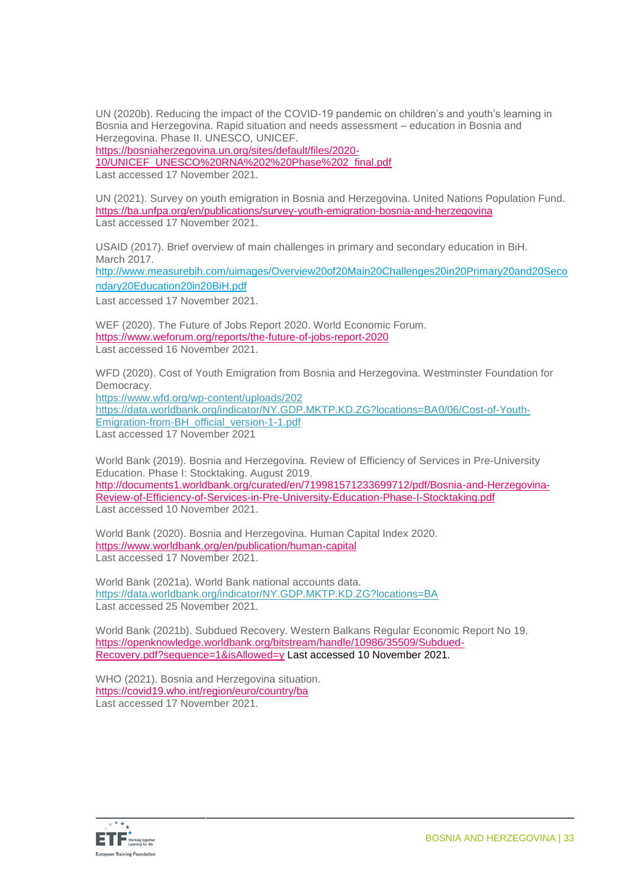UN (2020b). Reducing the impact of the COVID-19 pandemic on children's and youth's learning in Bosnia and Herzegovina. Rapid situation and needs assessment – education in Bosnia and Herzegovina. Phase II. UNESCO, UNICEF.

[https://bosniaherzegovina.un.org/sites/default/files/2020-](https://bosniaherzegovina.un.org/sites/default/files/2020-10/UNICEF_UNESCO%20RNA%202%20Phase%202_final.pdf)

[10/UNICEF\\_UNESCO%20RNA%202%20Phase%202\\_final.pdf](https://bosniaherzegovina.un.org/sites/default/files/2020-10/UNICEF_UNESCO%20RNA%202%20Phase%202_final.pdf)

Last accessed 17 November 2021.

UN (2021). Survey on youth emigration in Bosnia and Herzegovina. United Nations Population Fund. <https://ba.unfpa.org/en/publications/survey-youth-emigration-bosnia-and-herzegovina> Last accessed 17 November 2021.

USAID (2017). Brief overview of main challenges in primary and secondary education in BiH. March 2017.

[http://www.measurebih.com/uimages/Overview20of20Main20Challenges20in20Primary20and20Seco](http://www.measurebih.com/uimages/Overview20of20Main20Challenges20in20Primary20and20Secondary20Education20in20BiH.pdf) [ndary20Education20in20BiH.pdf](http://www.measurebih.com/uimages/Overview20of20Main20Challenges20in20Primary20and20Secondary20Education20in20BiH.pdf)

Last accessed 17 November 2021.

WEF (2020). The Future of Jobs Report 2020. World Economic Forum. https://www.weforum.org/reports/the-future-of-jobs-report-2020 Last accessed 16 November 2021.

WFD (2020). Cost of Youth Emigration from Bosnia and Herzegovina. Westminster Foundation for Democracy.

[https://www.wfd.org/wp-content/uploads/202](https://www.wfd.org/wp-content/uploads/2020/06/Cost-of-Youth-Emigration-from-BH_official_version-1-1.pdf) [https://data.worldbank.org/indicator/NY.GDP.MKTP.KD.ZG?locations=BA0/06/Cost-of-Youth-](https://www.wfd.org/wp-content/uploads/2020/06/Cost-of-Youth-Emigration-from-BH_official_version-1-1.pdf)[Emigration-from-BH\\_official\\_version-1-1.pdf](https://www.wfd.org/wp-content/uploads/2020/06/Cost-of-Youth-Emigration-from-BH_official_version-1-1.pdf) Last accessed 17 November 2021

World Bank (2019). Bosnia and Herzegovina. Review of Efficiency of Services in Pre-University Education. Phase I: Stocktaking. August 2019. [http://documents1.worldbank.org/curated/en/719981571233699712/pdf/Bosnia-and-Herzegovina-](http://documents1.worldbank.org/curated/en/719981571233699712/pdf/Bosnia-and-Herzegovina-Review-of-Efficiency-of-Services-in-Pre-University-Education-Phase-I-Stocktaking.pdf)[Review-of-Efficiency-of-Services-in-Pre-University-Education-Phase-I-Stocktaking.pdf](http://documents1.worldbank.org/curated/en/719981571233699712/pdf/Bosnia-and-Herzegovina-Review-of-Efficiency-of-Services-in-Pre-University-Education-Phase-I-Stocktaking.pdf) Last accessed 10 November 2021.

World Bank (2020). Bosnia and Herzegovina. Human Capital Index 2020. <https://www.worldbank.org/en/publication/human-capital> Last accessed 17 November 2021.

World Bank (2021a). World Bank national accounts data. https://data.worldbank.org/indicator/NY.GDP.MKTP.KD.ZG?locations=BA Last accessed 25 November 2021.

World Bank (2021b). Subdued Recovery. Western Balkans Regular Economic Report No 19. [https://openknowledge.worldbank.org/bitstream/handle/10986/35509/Subdued-](https://openknowledge.worldbank.org/bitstream/handle/10986/35509/Subdued-Recovery.pdf?sequence=1&isAllowed=y)[Recovery.pdf?sequence=1&isAllowed=y](https://openknowledge.worldbank.org/bitstream/handle/10986/35509/Subdued-Recovery.pdf?sequence=1&isAllowed=y) Last accessed 10 November 2021.

WHO (2021). Bosnia and Herzegovina situation. <https://covid19.who.int/region/euro/country/ba> Last accessed 17 November 2021

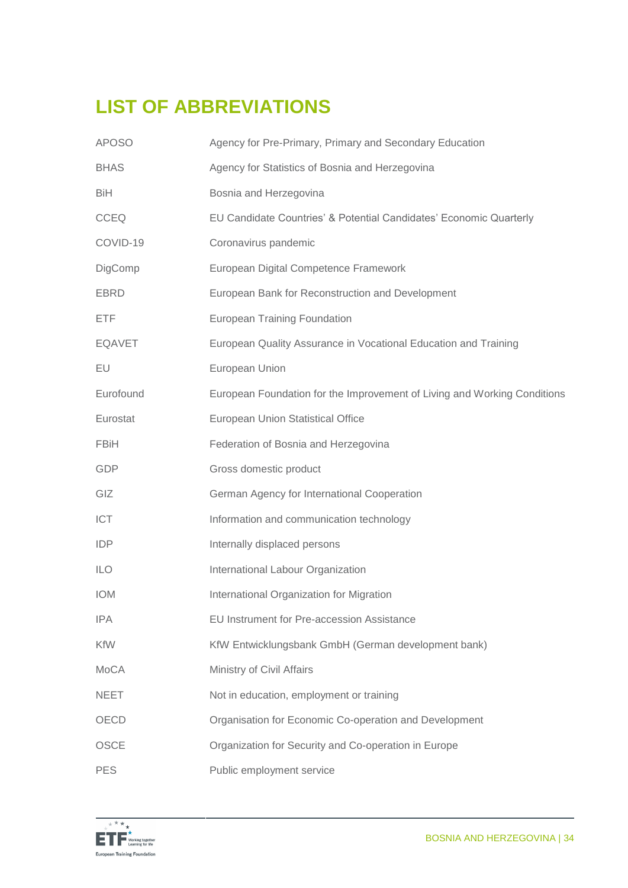# **LIST OF ABBREVIATIONS**

| <b>APOSO</b>  | Agency for Pre-Primary, Primary and Secondary Education                  |
|---------------|--------------------------------------------------------------------------|
| <b>BHAS</b>   | Agency for Statistics of Bosnia and Herzegovina                          |
| <b>BiH</b>    | Bosnia and Herzegovina                                                   |
| <b>CCEQ</b>   | EU Candidate Countries' & Potential Candidates' Economic Quarterly       |
| COVID-19      | Coronavirus pandemic                                                     |
| DigComp       | European Digital Competence Framework                                    |
| <b>EBRD</b>   | European Bank for Reconstruction and Development                         |
| <b>ETF</b>    | <b>European Training Foundation</b>                                      |
| <b>EQAVET</b> | European Quality Assurance in Vocational Education and Training          |
| EU            | European Union                                                           |
| Eurofound     | European Foundation for the Improvement of Living and Working Conditions |
| Eurostat      | <b>European Union Statistical Office</b>                                 |
| <b>FBiH</b>   | Federation of Bosnia and Herzegovina                                     |
| GDP           | Gross domestic product                                                   |
| GIZ           | German Agency for International Cooperation                              |
| ICT           | Information and communication technology                                 |
| <b>IDP</b>    | Internally displaced persons                                             |
| <b>ILO</b>    | International Labour Organization                                        |
| <b>IOM</b>    | International Organization for Migration                                 |
| <b>IPA</b>    | EU Instrument for Pre-accession Assistance                               |
| <b>KfW</b>    | KfW Entwicklungsbank GmbH (German development bank)                      |
| <b>MoCA</b>   | Ministry of Civil Affairs                                                |
| <b>NEET</b>   | Not in education, employment or training                                 |
| OECD          | Organisation for Economic Co-operation and Development                   |
| <b>OSCE</b>   | Organization for Security and Co-operation in Europe                     |
| <b>PES</b>    | Public employment service                                                |

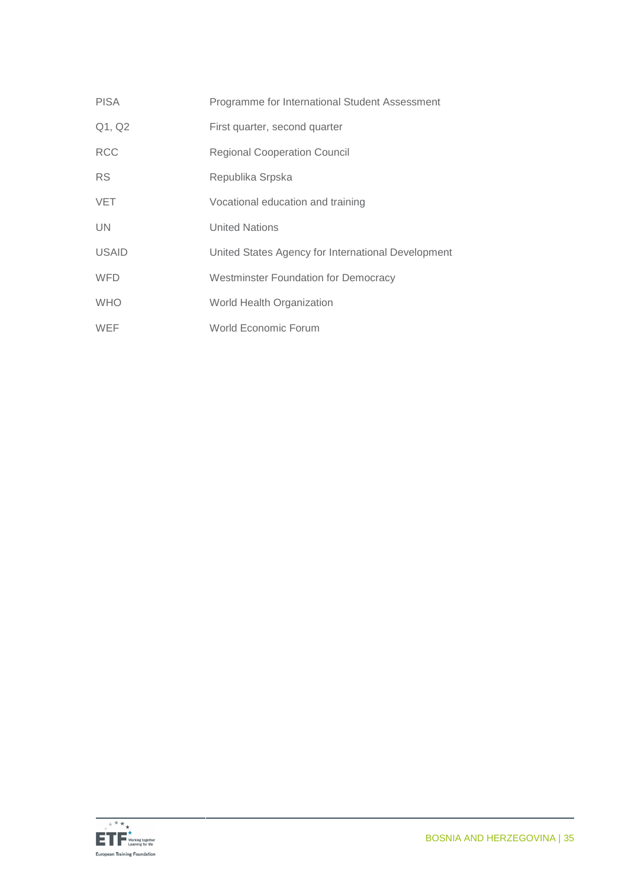| <b>PISA</b>  | Programme for International Student Assessment     |
|--------------|----------------------------------------------------|
| Q1, Q2       | First quarter, second quarter                      |
| <b>RCC</b>   | <b>Regional Cooperation Council</b>                |
| <b>RS</b>    | Republika Srpska                                   |
| <b>VET</b>   | Vocational education and training                  |
| <b>UN</b>    | <b>United Nations</b>                              |
| <b>USAID</b> | United States Agency for International Development |
| <b>WFD</b>   | <b>Westminster Foundation for Democracy</b>        |
| <b>WHO</b>   | World Health Organization                          |
| <b>WEF</b>   | World Economic Forum                               |